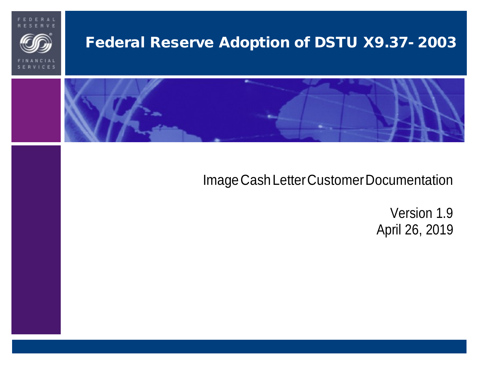



# Federal Reserve Adoption of DSTU X9.37- 2003



# Image Cash Letter Customer Documentation

Version 1.9 April 26, 2019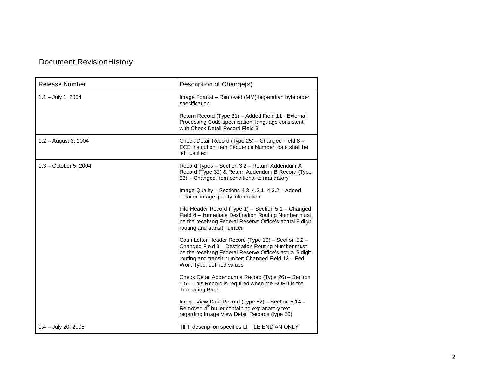## Document RevisionHistory

| Release Number         | Description of Change(s)                                                                                                                                                                                                                                |
|------------------------|---------------------------------------------------------------------------------------------------------------------------------------------------------------------------------------------------------------------------------------------------------|
| $1.1 - July 1, 2004$   | Image Format - Removed (MM) big-endian byte order<br>specification                                                                                                                                                                                      |
|                        | Return Record (Type 31) - Added Field 11 - External<br>Processing Code specification; language consistent<br>with Check Detail Record Field 3                                                                                                           |
| $1.2 -$ August 3, 2004 | Check Detail Record (Type 25) - Changed Field 8 -<br>ECE Institution Item Sequence Number; data shall be<br>left justified                                                                                                                              |
| 1.3 - October 5, 2004  | Record Types - Section 3.2 - Return Addendum A<br>Record (Type 32) & Return Addendum B Record (Type<br>33) - Changed from conditional to mandatory                                                                                                      |
|                        | Image Quality - Sections 4.3, 4.3.1, 4.3.2 - Added<br>detailed image quality information                                                                                                                                                                |
|                        | File Header Record (Type 1) - Section 5.1 - Changed<br>Field 4 - Immediate Destination Routing Number must<br>be the receiving Federal Reserve Office's actual 9 digit<br>routing and transit number                                                    |
|                        | Cash Letter Header Record (Type 10) - Section 5.2 -<br>Changed Field 3 - Destination Routing Number must<br>be the receiving Federal Reserve Office's actual 9 digit<br>routing and transit number; Changed Field 13 - Fed<br>Work Type; defined values |
|                        | Check Detail Addendum a Record (Type 26) - Section<br>5.5 - This Record is required when the BOFD is the<br><b>Truncating Bank</b>                                                                                                                      |
|                        | Image View Data Record (Type 52) - Section 5.14 -<br>Removed $4th$ bullet containing explanatory text<br>regarding Image View Detail Records (type 50)                                                                                                  |
| $1.4 - July 20, 2005$  | TIFF description specifies LITTLE ENDIAN ONLY                                                                                                                                                                                                           |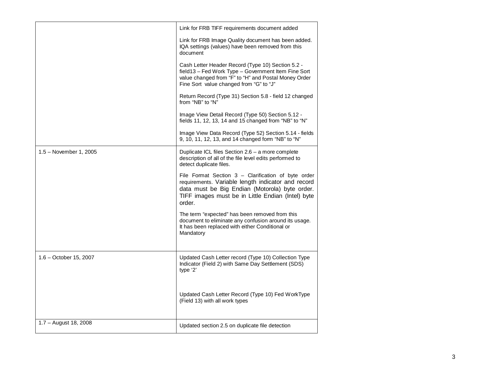|                         | Link for FRB TIFF requirements document added                                                                                                                                                                              |
|-------------------------|----------------------------------------------------------------------------------------------------------------------------------------------------------------------------------------------------------------------------|
|                         | Link for FRB Image Quality document has been added.<br>IQA settings (values) have been removed from this<br>document                                                                                                       |
|                         | Cash Letter Header Record (Type 10) Section 5.2 -<br>field13 - Fed Work Type - Government Item Fine Sort<br>value changed from "F" to "H" and Postal Money Order<br>Fine Sort value changed from "G" to "J"                |
|                         | Return Record (Type 31) Section 5.8 - field 12 changed<br>from "NB" to "N"                                                                                                                                                 |
|                         | Image View Detail Record (Type 50) Section 5.12 -<br>fields 11, 12, 13, 14 and 15 changed from "NB" to "N"                                                                                                                 |
|                         | Image View Data Record (Type 52) Section 5.14 - fields<br>9, 10, 11, 12, 13, and 14 changed form "NB" to "N"                                                                                                               |
| 1.5 – November 1, 2005  | Duplicate ICL files Section 2.6 – a more complete<br>description of all of the file level edits performed to<br>detect duplicate files.                                                                                    |
|                         | File Format Section 3 - Clarification of byte order<br>requirements. Variable length indicator and record<br>data must be Big Endian (Motorola) byte order.<br>TIFF images must be in Little Endian (Intel) byte<br>order. |
|                         | The term "expected" has been removed from this<br>document to eliminate any confusion around its usage.<br>It has been replaced with either Conditional or<br>Mandatory                                                    |
| 1.6 – October 15, 2007  | Updated Cash Letter record (Type 10) Collection Type<br>Indicator (Field 2) with Same Day Settlement (SDS)<br>type '2'                                                                                                     |
|                         | Updated Cash Letter Record (Type 10) Fed WorkType<br>(Field 13) with all work types                                                                                                                                        |
| $1.7 -$ August 18, 2008 | Updated section 2.5 on duplicate file detection                                                                                                                                                                            |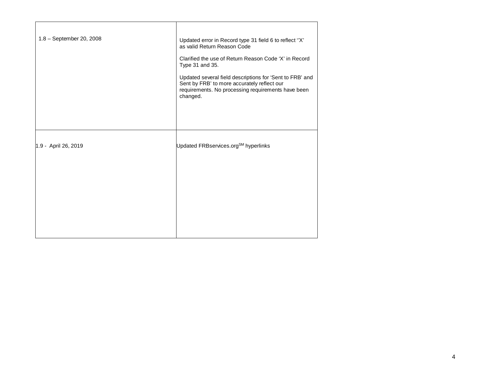| 1.8 - September 20, 2008 | Updated error in Record type 31 field 6 to reflect "X"<br>as valid Return Reason Code                                                                                     |
|--------------------------|---------------------------------------------------------------------------------------------------------------------------------------------------------------------------|
|                          | Clarified the use of Return Reason Code 'X' in Record<br>Type 31 and 35.                                                                                                  |
|                          | Updated several field descriptions for 'Sent to FRB' and<br>Sent by FRB' to more accurately reflect our<br>requirements. No processing requirements have been<br>changed. |
|                          |                                                                                                                                                                           |
| 1.9 - April 26, 2019     | Updated FRBservices.org <sup>SM</sup> hyperlinks                                                                                                                          |
|                          |                                                                                                                                                                           |
|                          |                                                                                                                                                                           |
|                          |                                                                                                                                                                           |
|                          |                                                                                                                                                                           |

 $\overline{\phantom{a}}$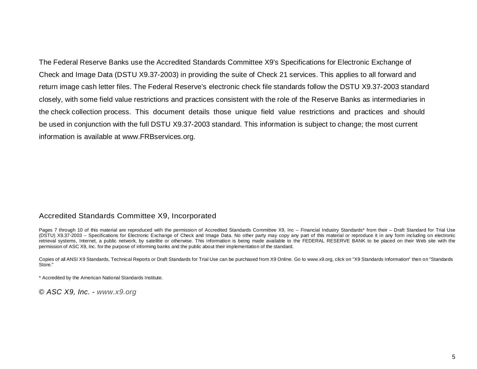Check and Image Data (DSTU X9.37-2003) in providing the suite of Check 21 services. This applies to all forward and the check collection process. This document details those unique field value restrictions and practices and should The Federal Reserve Banks use the Accredited Standards Committee X9's Specifications for Electronic Exchange of return image cash letter files. The Federal Reserve's electronic check file standards follow the DSTU X9.37-2003 standard closely, with some field value restrictions and practices consistent with the role of the Reserve Banks as intermediaries in be used in conjunction with the full DSTU X9.37-2003 standard. This information is subject to change; the most current information is available at [www.FRBservices.org.](https://www.frbservices.org/) 

#### Accredited Standards Committee X9, Incorporated

Pages 7 through 10 of this material are reproduced with the permission of Accredited Standards Committee X9, Inc – Financial Industry Standards\* from their – Draft Standard for Trial Use retrieval systems, Internet, a public network, by satellite or otherwise. This information is being made available to the FEDERAL RESERVE BANK to be placed on their Web site with the permission of ASC X9, Inc. for the purpose of informing banks and the public about their implementation of the standard. (DSTU) X9.37-2003 – Specifications for Electronic Exchange of Check and Image Data. No other party may copy any part of this material or reproduce it in any form including on electronic

Copies of all ANSI X9 Standards, Technical Reports or Draft Standards for Trial Use can be purchased from X9 Online. Go to [www.x9.org, c](http://www.x9.org/)lick on "X9 Standards Information" then on "Standards Store."

\* Accredited by the American National Standards Institute.

© *ASC X9, Inc. - [www.x9.org](http://www.x9.org/)*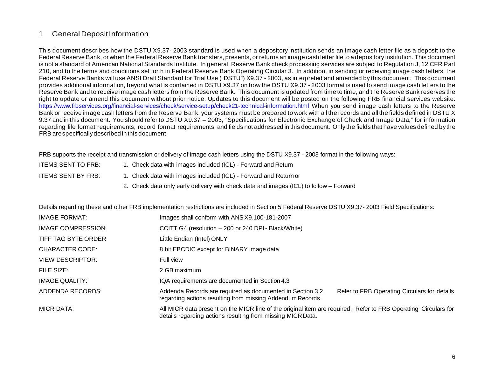#### 1 General DepositInformation

 This document describes how the DSTU X9.37- 2003 standard is used when a depository institution sends an image cash letter file as a deposit to the Federal Reserve Bank, or when the Federal Reserve Bank transfers, presents, or returns an image cash letter file to a depository institution. This document is not a standard of American National Standards Institute. In general, Reserve Bank check processing services are subject to Regulation J, 12 CFR Part 210, and to the terms and conditions set forth in Federal Reserve Bank Operating Circular 3. In addition, in sending or receiving image cash letters, the Federal Reserve Banks will use ANSI Draft Standard for Trial Use ("DSTU") X9.37 - 2003, as interpreted and amended by this document. This document provides additional information, beyond what is contained in DSTU X9.37 on how the DSTU X9.37 - 2003 format is used to send image cash letters to the Reserve Bank and to receive image cash letters from the Reserve Bank. This document is updated from time to time, and the Reserve Bank reserves the right to update or amend this document without prior notice. Updates to this document will be posted on the following FRB financial services website: <https://www.frbservices.org/financial-services/check/service-setup/check21-technical-information.html>When you send image cash letters to the Reserve Bank or receive image cash letters from the Reserve Bank, your systems must be prepared to work with all the records and all the fields defined in DSTU X 9.37 and in this document. You should refer to DSTU X9.37 – 2003, "Specifications for Electronic Exchange of Check and Image Data," for information regarding file format requirements, record format requirements, and fields not addressed in this document. Onlythe fields that have values defined bythe FRB arespecifically described in this document.

FRB supports the receipt and transmission or delivery of image cash letters using the DSTU X9.37 - 2003 format in the following ways:

**ITEMS SENT TO FRB: ITEMS SENT BY FRB:** 

- 1. Check data with images included (ICL) Forward and Return
- 1. Check data with images included (ICL) Forward and Return or
	- 2. Check data only early delivery with check data and images (ICL) to follow Forward

|                           | - 0.0.0.0 + 0.0.0 + 10.0 + 10.0 0.0.0 + 10.0.0 + 10.0.0.0 + 10.0.0.0 + 10.0.0.0 + 10.0.0.0 + 10.0.0 + 10.0.0 + 10.0.0 + 10.0.0 + 10.0.0 + 10.0.0 + 10.0.0 + 10.0.0 + 10.0.0 + 10.0.0 + 10.0.0 + 10.0.0 + 10.0.0 + 10.0.0 + 10. |  |  |  |  |  |  |
|---------------------------|--------------------------------------------------------------------------------------------------------------------------------------------------------------------------------------------------------------------------------|--|--|--|--|--|--|
| <b>IMAGE FORMAT:</b>      | Images shall conform with ANS X9.100-181-2007                                                                                                                                                                                  |  |  |  |  |  |  |
| <b>IMAGE COMPRESSION:</b> | CCITT G4 (resolution - 200 or 240 DPI - Black/White)                                                                                                                                                                           |  |  |  |  |  |  |
| TIFF TAG BYTE ORDER       | Little Endian (Intel) ONLY                                                                                                                                                                                                     |  |  |  |  |  |  |
| <b>CHARACTER CODE:</b>    | 8 bit EBCDIC except for BINARY image data                                                                                                                                                                                      |  |  |  |  |  |  |
| <b>VIEW DESCRIPTOR:</b>   | Full view                                                                                                                                                                                                                      |  |  |  |  |  |  |
| FILE SIZE:                | 2 GB maximum                                                                                                                                                                                                                   |  |  |  |  |  |  |
| <b>IMAGE QUALITY:</b>     | IQA requirements are documented in Section 4.3                                                                                                                                                                                 |  |  |  |  |  |  |
| ADDENDA RECORDS:          | Addenda Records are required as documented in Section 3.2.<br>Refer to FRB Operating Circulars for details<br>regarding actions resulting from missing Addendum Records.                                                       |  |  |  |  |  |  |
| MICR DATA:                | All MICR data present on the MICR line of the original item are required. Refer to FRB Operating Circulars for<br>details regarding actions resulting from missing MICR Data.                                                  |  |  |  |  |  |  |

Details regarding these and other FRB implementation restrictions are included in Section 5 Federal Reserve DSTU X9.37- 2003 Field Specifications: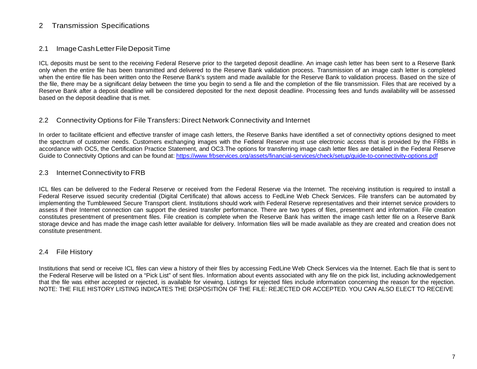## 2 Transmission Specifications

#### 2.1 ImageCashLetterFileDepositTime

 ICL deposits must be sent to the receiving Federal Reserve prior to the targeted deposit deadline. An image cash letter has been sent to a Reserve Bank only when the entire file has been transmitted and delivered to the Reserve Bank validation process. Transmission of an image cash letter is completed when the entire file has been written onto the Reserve Bank's system and made available for the Reserve Bank to validation process. Based on the size of the file, there may be a significant delay between the time you begin to send a file and the completion of the file transmission. Files that are received by a Reserve Bank after a deposit deadline will be considered deposited for the next deposit deadline. Processing fees and funds availability will be assessed based on the deposit deadline that is met.

#### 2.2 Connectivity Options for File Transfers: Direct Network Connectivity and Internet

 In order to facilitate efficient and effective transfer of image cash letters, the Reserve Banks have identified a set of connectivity options designed to meet the spectrum of customer needs. Customers exchanging images with the Federal Reserve must use electronic access that is provided by the FRBs in accordance with OC5, the Certification Practice Statement, and OC3.The options for transferring image cash letter files are detailed in the Federal Reserve Guide to Connectivity Options and can be found at: https://www.frbservices.org/assets/financial-services/check/setup/guide-to-connectivity-options.pdf

#### 2.3 Internet Connectivity to FRB

 Federal Reserve issued security credential (Digital Certificate) that allows access to FedLine Web Check Services. File transfers can be automated by implementing the Tumbleweed Secure Transport client. Institutions should work with Federal Reserve representatives and their internet service providers to storage device and has made the image cash letter available for delivery. Information files will be made available as they are created and creation does not ICL files can be delivered to the Federal Reserve or received from the Federal Reserve via the Internet. The receiving institution is required to install a assess if their Internet connection can support the desired transfer performance. There are two types of files, presentment and information. File creation constitutes presentment of presentment files. File creation is complete when the Reserve Bank has written the image cash letter file on a Reserve Bank constitute presentment.

#### 2.4 File History

 Institutions that send or receive ICL files can view a history of their files by accessing FedLine Web Check Services via the Internet. Each file that is sent to the Federal Reserve will be listed on a "Pick List" of sent files. Information about events associated with any file on the pick list, including acknowledgement that the file was either accepted or rejected, is available for viewing. Listings for rejected files include information concerning the reason for the rejection. NOTE: THE FILE HISTORY LISTING INDICATES THE DISPOSITION OF THE FILE: REJECTED OR ACCEPTED. YOU CAN ALSO ELECT TO RECEIVE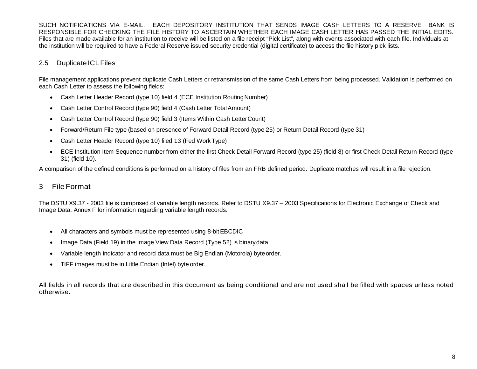SUCH NOTIFICATIONS VIA E-MAIL. EACH DEPOSITORY INSTITUTION THAT SENDS IMAGE CASH LETTERS TO A RESERVE BANK IS RESPONSIBLE FOR CHECKING THE FILE HISTORY TO ASCERTAIN WHETHER EACH IMAGE CASH LETTER HAS PASSED THE INITIAL EDITS. Files that are made available for an institution to receive will be listed on a file receipt "Pick List", along with events associated with each file. Individuals at the institution will be required to have a Federal Reserve issued security credential (digital certificate) to access the file history pick lists.

## 2.5 Duplicate ICL Files

File management applications prevent duplicate Cash Letters or retransmission of the same Cash Letters from being processed. Validation is performed on each Cash Letter to assess the following fields:

- Cash Letter Header Record (type 10) field 4 (ECE Institution RoutingNumber)
- Cash Letter Control Record (type 90) field 4 (Cash Letter Total Amount)
- Cash Letter Control Record (type 90) field 3 (Items Within Cash LetterCount)
- Forward/Return File type (based on presence of Forward Detail Record (type 25) or Return Detail Record (type 31)
- Cash Letter Header Record (type 10) filed 13 (Fed Work Type)
- • ECE Institution Item Sequence number from either the first Check Detail Forward Record (type 25) (field 8) or first Check Detail Return Record (type 31) (field 10).

A comparison of the defined conditions is performed on a history of files from an FRB defined period. Duplicate matches will result in a file rejection.

## 3 File Format

The DSTU X9.37 - 2003 file is comprised of variable length records. Refer to DSTU X9.37 – 2003 Specifications for Electronic Exchange of Check and Image Data, Annex F for information regarding variable length records.

- All characters and symbols must be represented using 8-bit EBCDIC
- Image Data (Field 19) in the Image View Data Record (Type 52) is binarydata.
- Variable length indicator and record data must be Big Endian (Motorola) byteorder.
- TIFF images must be in Little Endian (Intel) byte order.

All fields in all records that are described in this document as being conditional and are not used shall be filled with spaces unless noted otherwise.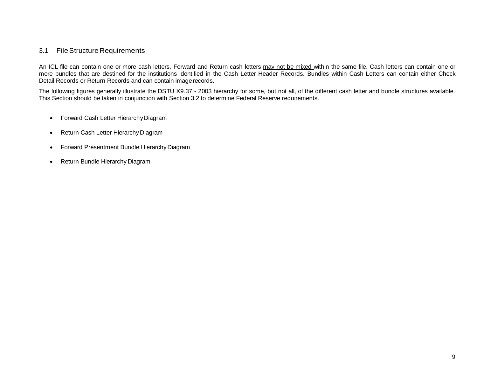#### 3.1 File Structure Requirements

An ICL file can contain one or more cash letters. Forward and Return cash letters <u>may not be mixed within the same file</u>. Cash letters can contain one or more bundles that are destined for the institutions identified in the Cash Letter Header Records. Bundles within Cash Letters can contain either Check Detail Records or Return Records and can contain imagerecords.

 The following figures generally illustrate the DSTU X9.37 - 2003 hierarchy for some, but not all, of the different cash letter and bundle structures available. This Section should be taken in conjunction with Section 3.2 to determine Federal Reserve requirements.

- Forward Cash Letter Hierarchy Diagram
- Return Cash Letter Hierarchy Diagram
- Forward Presentment Bundle Hierarchy Diagram
- Return Bundle Hierarchy Diagram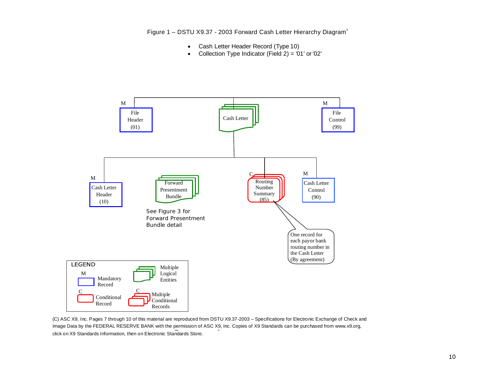Figure 1 – DSTU X9.37 - 2003 Forward Cash Letter Hierarchy Diagram<sup>\*</sup>

- Cash Letter Header Record (Type 10)
- Collection Type Indicator (Field 2) = '01' or '02'



Image Data by the FEDERAL RESERVE BANK with the permission of ASC X9, Inc. Copies of X9 Standards can be purchased from www.x9.org,<br>click on X9 Standards Information, then on Electronia Standards Stare click on X9 Standards Information, then on Electronic Standards Store. (C) ASC X9, Inc. Pages 7 through 10 of this material are reproduced from DSTU X9.37-2003 – Specifications for Electronic Exchange of Check and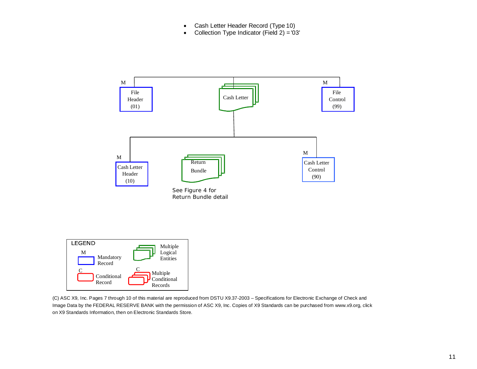- Cash Letter Header Record (Type 10)
- Collection Type Indicator (Field 2) = '03'





 Image Data by the FEDERAL RESERVE BANK with the permission of ASC X9, Inc. Copies of X9 Standards can be purchased fro[m www.x9.org, c](http://www.x9.org/)lick (C) ASC X9, Inc. Pages 7 through 10 of this material are reproduced from DSTU X9.37-2003 – Specifications for Electronic Exchange of Check and on X9 Standards Information, then on Electronic Standards Store.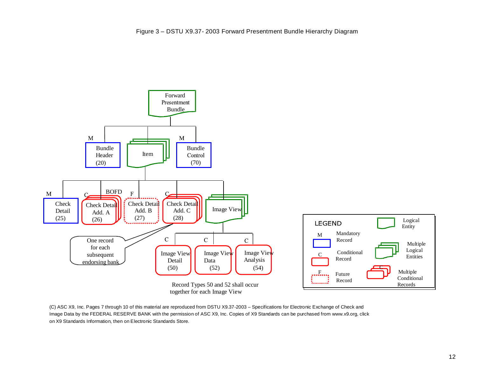

 Image Data by the FEDERAL RESERVE BANK with the permission of ASC X9, Inc. Copies of X9 Standards can be purchased fro[m www.x9.org, c](http://www.x9.org/)lick (C) ASC X9, Inc. Pages 7 through 10 of this material are reproduced from DSTU X9.37-2003 – Specifications for Electronic Exchange of Check and on X9 Standards Information, then on Electronic Standards Store.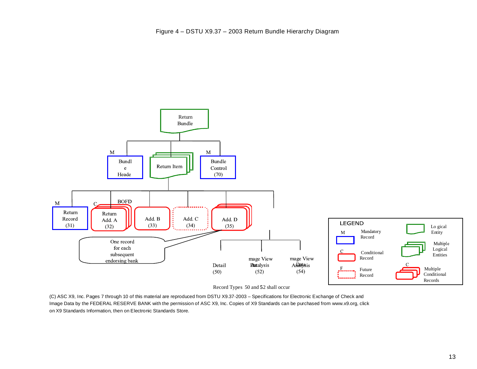

Record Types 50 and 52 shall occur

(C) ASC X9, Inc. Pages 7 through 10 of this material are reproduced from DSTU X9.37-2003 – Specifications for Electronic Exchange of Check and Image Data by the FEDERAL RESERVE BANK with the permission of ASC X9, Inc. Copies of X9 Standards can be purchased fro[m www.x9.org, c](http://www.x9.org/)lick on X9 Standards Information, then on Electronic Standards Store.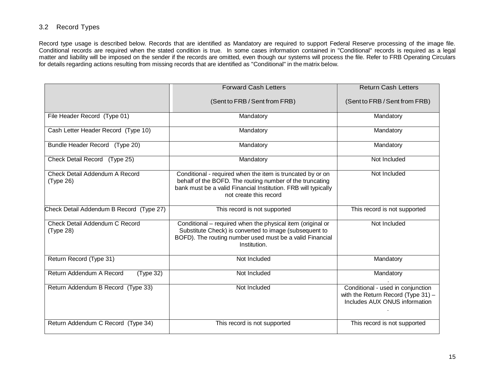#### 3.2 Record Types

 Record type usage is described below. Records that are identified as Mandatory are required to support Federal Reserve processing of the image file. Conditional records are required when the stated condition is true. In some cases information contained in "Conditional" records is required as a legal matter and liability will be imposed on the sender if the records are omitted, even though our systems will process the file. Refer to FRB Operating Circulars for details regarding actions resulting from missing records that are identified as "Conditional" in the matrix below.

|                                             | <b>Forward Cash Letters</b>                                                                                                                                                                                        | <b>Return Cash Letters</b>                                                                                  |
|---------------------------------------------|--------------------------------------------------------------------------------------------------------------------------------------------------------------------------------------------------------------------|-------------------------------------------------------------------------------------------------------------|
|                                             | (Sent to FRB / Sent from FRB)                                                                                                                                                                                      | (Sent to FRB / Sent from FRB)                                                                               |
| File Header Record (Type 01)                | Mandatory                                                                                                                                                                                                          | Mandatory                                                                                                   |
| Cash Letter Header Record (Type 10)         | Mandatory                                                                                                                                                                                                          | Mandatory                                                                                                   |
| Bundle Header Record (Type 20)              | Mandatory                                                                                                                                                                                                          | Mandatory                                                                                                   |
| Check Detail Record (Type 25)               | Mandatory                                                                                                                                                                                                          | Not Included                                                                                                |
| Check Detail Addendum A Record<br>(Type 26) | Conditional - required when the item is truncated by or on<br>behalf of the BOFD. The routing number of the truncating<br>bank must be a valid Financial Institution. FRB will typically<br>not create this record | Not Included                                                                                                |
| Check Detail Addendum B Record (Type 27)    | This record is not supported                                                                                                                                                                                       | This record is not supported                                                                                |
| Check Detail Addendum C Record<br>(Type 28) | Conditional - required when the physical item (original or<br>Substitute Check) is converted to image (subsequent to<br>BOFD). The routing number used must be a valid Financial<br>Institution.                   | Not Included                                                                                                |
| Return Record (Type 31)                     | Not Included                                                                                                                                                                                                       | Mandatory                                                                                                   |
| Return Addendum A Record<br>(Type 32)       | Not Included                                                                                                                                                                                                       | Mandatory                                                                                                   |
| Return Addendum B Record (Type 33)          | Not Included                                                                                                                                                                                                       | Conditional - used in conjunction<br>with the Return Record (Type $31$ ) -<br>Includes AUX ONUS information |
| Return Addendum C Record (Type 34)          | This record is not supported                                                                                                                                                                                       | This record is not supported                                                                                |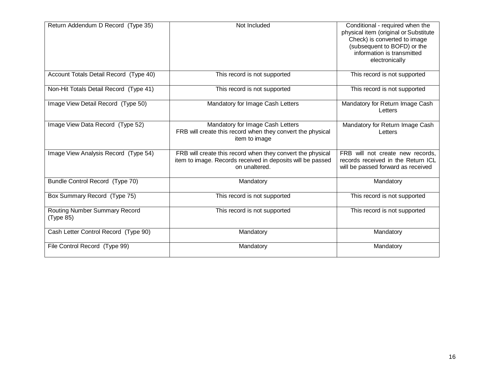| Return Addendum D Record (Type 35)                | Not Included                                                                                                                              | Conditional - required when the<br>physical item (original or Substitute<br>Check) is converted to image<br>(subsequent to BOFD) or the<br>information is transmitted<br>electronically |
|---------------------------------------------------|-------------------------------------------------------------------------------------------------------------------------------------------|-----------------------------------------------------------------------------------------------------------------------------------------------------------------------------------------|
| Account Totals Detail Record (Type 40)            | This record is not supported                                                                                                              | This record is not supported                                                                                                                                                            |
| Non-Hit Totals Detail Record (Type 41)            | This record is not supported                                                                                                              | This record is not supported                                                                                                                                                            |
| Image View Detail Record (Type 50)                | Mandatory for Image Cash Letters                                                                                                          | Mandatory for Return Image Cash<br>Letters                                                                                                                                              |
| Image View Data Record (Type 52)                  | Mandatory for Image Cash Letters<br>FRB will create this record when they convert the physical<br>item to image                           | Mandatory for Return Image Cash<br>Letters                                                                                                                                              |
| Image View Analysis Record (Type 54)              | FRB will create this record when they convert the physical<br>item to image. Records received in deposits will be passed<br>on unaltered. | FRB will not create new records,<br>records received in the Return ICL<br>will be passed forward as received                                                                            |
| Bundle Control Record (Type 70)                   | Mandatory                                                                                                                                 | Mandatory                                                                                                                                                                               |
| Box Summary Record (Type 75)                      | This record is not supported                                                                                                              | This record is not supported                                                                                                                                                            |
| <b>Routing Number Summary Record</b><br>(Type 85) | This record is not supported                                                                                                              | This record is not supported                                                                                                                                                            |
| Cash Letter Control Record (Type 90)              | Mandatory                                                                                                                                 | Mandatory                                                                                                                                                                               |
| File Control Record (Type 99)                     | Mandatory                                                                                                                                 | Mandatory                                                                                                                                                                               |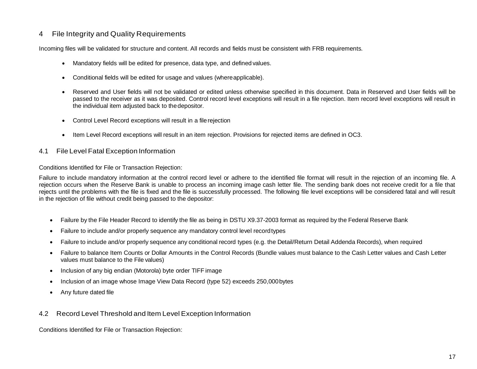#### 4 File Integrity and Quality Requirements

Incoming files will be validated for structure and content. All records and fields must be consistent with FRB requirements.

- Mandatory fields will be edited for presence, data type, and defined values.
- Conditional fields will be edited for usage and values (whereapplicable).
- passed to the receiver as it was deposited. Control record level exceptions will result in a file rejection. Item record level exceptions will result in the individual item adjusted back to thedepositor. • Reserved and User fields will not be validated or edited unless otherwise specified in this document. Data in Reserved and User fields will be
- Control Level Record exceptions will result in a filerejection
- Item Level Record exceptions will result in an item rejection. Provisions for rejected items are defined in OC3.

#### 4.1 File Level Fatal Exception Information

Conditions Identified for File or Transaction Rejection:

 rejection occurs when the Reserve Bank is unable to process an incoming image cash letter file. The sending bank does not receive credit for a file that rejects until the problems with the file is fixed and the file is successfully processed. The following file level exceptions will be considered fatal and will result Failure to include mandatory information at the control record level or adhere to the identified file format will result in the rejection of an incoming file. A in the rejection of file without credit being passed to the depositor:

- Failure by the File Header Record to identify the file as being in DSTU X9.37-2003 format as required by the Federal Reserve Bank
- Failure to include and/or properly sequence any mandatory control level recordtypes
- Failure to include and/or properly sequence any conditional record types (e.g. the Detail/Return Detail Addenda Records), when required
- values must balance to the File values) • Failure to balance Item Counts or Dollar Amounts in the Control Records (Bundle values must balance to the Cash Letter values and Cash Letter
- Inclusion of any big endian (Motorola) byte order TIFF image
- Inclusion of an image whose Image View Data Record (type 52) exceeds 250,000bytes
- Any future dated file

#### 4.2 Record Level Threshold and Item Level Exception Information

Conditions Identified for File or Transaction Rejection: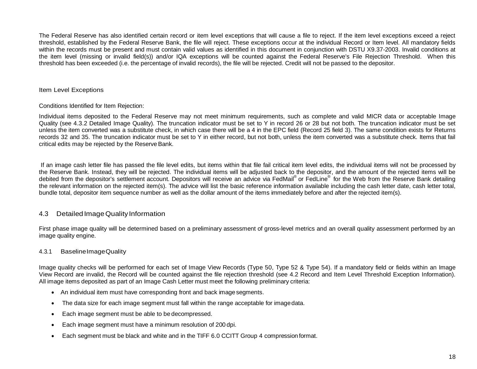within the records must be present and must contain valid values as identified in this document in conjunction with DSTU X9.37-2003. Invalid conditions at the item level (missing or invalid field(s)) and/or IQA exceptions will be counted against the Federal Reserve's File Rejection Threshold. When this threshold has been exceeded (i.e. the percentage of invalid records), the file will be rejected. Credit will not be passed to the depositor. The Federal Reserve has also identified certain record or item level exceptions that will cause a file to reject. If the item level exceptions exceed a reject threshold, established by the Federal Reserve Bank, the file will reject. These exceptions occur at the individual Record or Item level. All mandatory fields

#### Item Level Exceptions

#### Conditions Identified for Item Rejection:

 Quality (see 4.3.2 Detailed Image Quality). The truncation indicator must be set to Y in record 26 or 28 but not both. The truncation indicator must be set unless the item converted was a substitute check, in which case there will be a 4 in the EPC field (Record 25 field 3). The same condition exists for Returns records 32 and 35. The truncation indicator must be set to Y in either record, but not both, unless the item converted was a substitute check. Items that fail critical edits may be rejected by the Reserve Bank. Individual items deposited to the Federal Reserve may not meet minimum requirements, such as complete and valid MICR data or acceptable Image

If an image cash letter file has passed the file level edits, but items within that file fail critical item level edits, the individual items will not be processed by debited from the depositor's settlement account. Depositors will receive an advice via FedMail® or FedLine® for the Web from the Reserve Bank detailing the relevant information on the rejected item(s). The advice will list the basic reference information available including the cash letter date, cash letter total, bundle total, depositor item sequence number as well as the dollar amount of the items immediately before and after the rejected item(s). the Reserve Bank. Instead, they will be rejected. The individual items will be adjusted back to the depositor, and the amount of the rejected items will be

#### 4.3 DetailedImageQuality Information

 First phase image quality will be determined based on a preliminary assessment of gross-level metrics and an overall quality assessment performed by an image quality engine.

#### 4.3.1 BaselineImageQuality

 Image quality checks will be performed for each set of Image View Records (Type 50, Type 52 & Type 54). If a mandatory field or fields within an Image View Record are invalid, the Record will be counted against the file rejection threshold (see 4.2 Record and Item Level Threshold Exception Information). All image items deposited as part of an Image Cash Letter must meet the following preliminary criteria:

- An individual item must have corresponding front and back imagesegments.
- The data size for each image segment must fall within the range acceptable for imagedata.
- Each image segment must be able to be decompressed.
- Each image segment must have a minimum resolution of 200 dpi.
- Each segment must be black and white and in the TIFF 6.0 CCITT Group 4 compression format.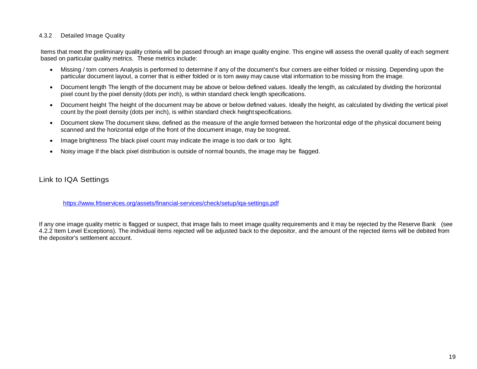#### 4.3.2 Detailed Image Quality

 Items that meet the preliminary quality criteria will be passed through an image quality engine. This engine will assess the overall quality of each segment based on particular quality metrics. These metrics include:

- particular document layout, a corner that is either folded or is torn away may cause vital information to be missing from the image. • Missing / torn corners Analysis is performed to determine if any of the document's four corners are either folded or missing. Depending upon the
- • Document length The length of the document may be above or below defined values. Ideally the length, as calculated by dividing the horizontal pixel count by the pixel density (dots per inch), is within standard check length specifications.
- count by the pixel density (dots per inch), is within standard check height specifications. • Document height The height of the document may be above or below defined values. Ideally the height, as calculated by dividing the vertical pixel
- scanned and the horizontal edge of the front of the document image, may be toogreat. • Document skew The document skew, defined as the measure of the angle formed between the horizontal edge of the physical document being
- Image brightness The black pixel count may indicate the image is too dark or too light.
- Noisy image If the black pixel distribution is outside of normal bounds, the image may be flagged.

## Link to IQA Settings

[https://www.frbservices.org/assets/financial-services/check/setup/iqa-settings.pdf](https://www.frbservices.org/binaries/content/assets/crsocms/financial-services/check/setup/iqa-settings.pdf) 

If any one image quality metric is flagged or suspect, that image fails to meet image quality requirements and it may be rejected by the Reserve Bank (see 4.2.2 Item Level Exceptions). The individual items rejected will be adjusted back to the depositor, and the amount of the rejected items will be debited from the depositor's settlement account.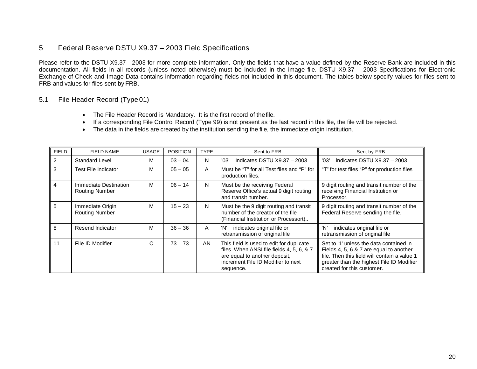## 5 Federal Reserve DSTU X9.37 – 2003 Field Specifications

 documentation. All fields in all records (unless noted otherwise) must be included in the image file. DSTU X9.37 – 2003 Specifications for Electronic Exchange of Check and Image Data contains information regarding fields not included in this document. The tables below specify values for files sent to FRB and values for files sent by FRB. Please refer to the DSTU X9.37 - 2003 for more complete information. Only the fields that have a value defined by the Reserve Bank are included in this

#### 5.1 File Header Record (Type 01)

- The File Header Record is Mandatory. It is the first record of thefile.
- If a corresponding File Control Record (Type 99) is not present as the last record in this file, the file will be rejected.
- The data in the fields are created by the institution sending the file, the immediate origin institution.

| <b>FIELD</b> | <b>FIELD NAME</b>                              | <b>USAGE</b> | <b>POSITION</b> | <b>TYPE</b>  | Sent to FRB                                                                                                                                                               | Sent by FRB                                                                                                                                                                                                   |
|--------------|------------------------------------------------|--------------|-----------------|--------------|---------------------------------------------------------------------------------------------------------------------------------------------------------------------------|---------------------------------------------------------------------------------------------------------------------------------------------------------------------------------------------------------------|
| 2            | <b>Standard Level</b>                          | м            | $03 - 04$       | N            | Indicates DSTU $X9.37 - 2003$<br>'03'                                                                                                                                     | indicates DSTU $X9.37 - 2003$<br>'03'                                                                                                                                                                         |
| 3            | <b>Test File Indicator</b>                     | м            | $05 - 05$       | $\mathsf{A}$ | Must be "T" for all Test files and "P" for<br>production files.                                                                                                           | "T" for test files "P" for production files                                                                                                                                                                   |
| 4            | Immediate Destination<br><b>Routing Number</b> | M            | $06 - 14$       | N            | Must be the receiving Federal<br>Reserve Office's actual 9 digit routing<br>and transit number.                                                                           | 9 digit routing and transit number of the<br>receiving Financial Institution or<br>Processor.                                                                                                                 |
| 5            | Immediate Origin<br><b>Routing Number</b>      | м            | $15 - 23$       | N            | Must be the 9 digit routing and transit<br>number of the creator of the file<br>(Financial Institution or Processort)                                                     | 9 digit routing and transit number of the<br>Federal Reserve sending the file.                                                                                                                                |
| 8            | Resend Indicator                               | м            | $36 - 36$       | A            | indicates original file or<br>'N'<br>retransmission of original file                                                                                                      | 'N'<br>indicates original file or<br>retransmission of original file                                                                                                                                          |
| 11           | File ID Modifier                               | C            | $73 - 73$       | AN           | This field is used to edit for duplicate<br>files. When ANSI file fields 4, 5, 6, & 7<br>are equal to another deposit,<br>increment File ID Modifier to next<br>sequence. | Set to '1' unless the data contained in<br>Fields 4, 5, 6 & 7 are equal to another<br>file. Then this field will contain a value 1<br>greater than the highest File ID Modifier<br>created for this customer. |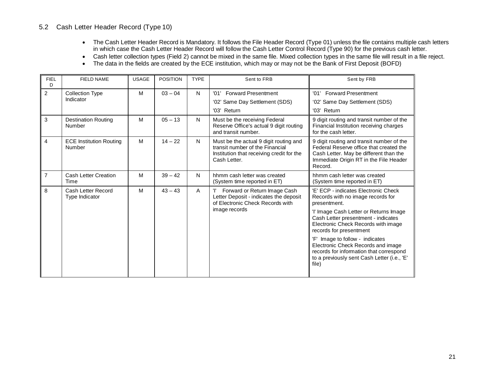#### 5.2 Cash Letter Header Record (Type 10)

- • The Cash Letter Header Record is Mandatory. It follows the File Header Record (Type 01) unless the file contains multiple cash letters in which case the Cash Letter Header Record will follow the Cash Letter Control Record (Type 90) for the previous cash letter.
- Cash letter collection types (Field 2) cannot be mixed in the same file. Mixed collection types in the same file will result in a file reject.
- The data in the fields are created by the ECE institution, which may or may not be the Bank of First Deposit (BOFD)

| <b>FIELD NAME</b>                        | <b>USAGE</b> | <b>POSITION</b> | <b>TYPE</b> | Sent to FRB                                                                                                                            | Sent by FRB                                                                                                                                                                         |
|------------------------------------------|--------------|-----------------|-------------|----------------------------------------------------------------------------------------------------------------------------------------|-------------------------------------------------------------------------------------------------------------------------------------------------------------------------------------|
| <b>Collection Type</b>                   | M            | $03 - 04$       | N           | '01' Forward Presentment                                                                                                               | '01' Forward Presentment                                                                                                                                                            |
|                                          |              |                 |             | '02' Same Day Settlement (SDS)                                                                                                         | '02' Same Day Settlement (SDS)                                                                                                                                                      |
|                                          |              |                 |             | '03' Return                                                                                                                            | '03' Return                                                                                                                                                                         |
| <b>Destination Routing</b><br>Number     | M            | $05 - 13$       | N           | Must be the receiving Federal<br>Reserve Office's actual 9 digit routing<br>and transit number.                                        | 9 digit routing and transit number of the<br>Financial Institution receiving charges<br>for the cash letter.                                                                        |
| <b>ECE Institution Routing</b><br>Number | M            | $14 - 22$       | N           | Must be the actual 9 digit routing and<br>transit number of the Financial<br>Institution that receiving credit for the<br>Cash Letter. | 9 digit routing and transit number of the<br>Federal Reserve office that created the<br>Cash Letter. May be different than the<br>Immediate Origin RT in the File Header<br>Record. |
| <b>Cash Letter Creation</b><br>Time      | M            | $39 - 42$       | N           | hhmm cash letter was created<br>(System time reported in ET)                                                                           | hhmm cash letter was created<br>(System time reported in ET)                                                                                                                        |
| Cash Letter Record<br>Type Indicator     | M            | $43 - 43$       | A           | Forward or Return Image Cash<br>Letter Deposit - indicates the deposit<br>of Electronic Check Records with                             | 'E' ECP - indicates Electronic Check<br>Records with no image records for<br>presentment.                                                                                           |
|                                          |              |                 |             |                                                                                                                                        | 'l' Image Cash Letter or Returns Image<br>Cash Letter presentment - indicates<br>Electronic Check Records with image<br>records for presentment                                     |
|                                          |              |                 |             |                                                                                                                                        | 'F' Image to follow - indicates<br>Electronic Check Records and image<br>records for information that correspond<br>to a previously sent Cash Letter (i.e., 'E'<br>file)            |
|                                          | Indicator    |                 |             |                                                                                                                                        | image records                                                                                                                                                                       |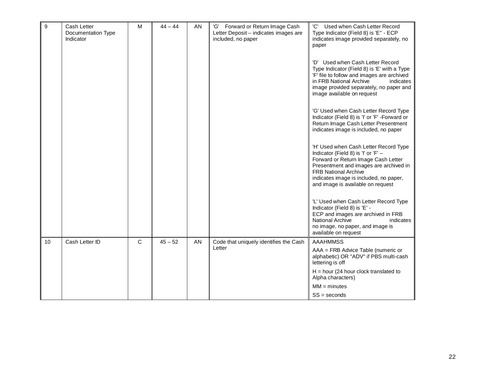| 9  | Cash Letter<br>Documentation Type<br>Indicator | M            | $44 - 44$ | AN | 'G' Forward or Return Image Cash<br>Letter Deposit - indicates images are<br>included, no paper | 'C'<br>Used when Cash Letter Record<br>Type Indicator (Field 8) is 'E" - ECP<br>indicates image provided separately, no<br>paper<br>'D' Used when Cash Letter Record<br>Type Indicator (Field 8) is 'E' with a Type<br>'F' file to follow and images are archived<br>in FRB National Archive<br>indicates<br>image provided separately, no paper and<br>image available on request<br>'G' Used when Cash Letter Record Type<br>Indicator (Field 8) is 'I' or 'F' -Forward or<br>Return Image Cash Letter Presentment<br>indicates image is included, no paper<br>'H' Used when Cash Letter Record Type<br>Indicator (Field 8) is 'I' or 'F' -<br>Forward or Return Image Cash Letter<br>Presentment and images are archived in<br><b>FRB National Archive</b><br>indicates image is included, no paper,<br>and image is available on request<br>'L' Used when Cash Letter Record Type<br>Indicator (Field 8) is 'E' -<br>ECP and images are archived in FRB<br><b>National Archive</b><br>indicates<br>no image, no paper, and image is<br>available on request |
|----|------------------------------------------------|--------------|-----------|----|-------------------------------------------------------------------------------------------------|-----------------------------------------------------------------------------------------------------------------------------------------------------------------------------------------------------------------------------------------------------------------------------------------------------------------------------------------------------------------------------------------------------------------------------------------------------------------------------------------------------------------------------------------------------------------------------------------------------------------------------------------------------------------------------------------------------------------------------------------------------------------------------------------------------------------------------------------------------------------------------------------------------------------------------------------------------------------------------------------------------------------------------------------------------------------|
| 10 | Cash Letter ID                                 | $\mathsf{C}$ | $45 - 52$ | AN | Code that uniquely identifies the Cash                                                          | <b>AAAHMMSS</b>                                                                                                                                                                                                                                                                                                                                                                                                                                                                                                                                                                                                                                                                                                                                                                                                                                                                                                                                                                                                                                                 |
|    |                                                |              |           |    | Letter                                                                                          | AAA = FRB Advice Table (numeric or<br>alphabetic) OR "ADV" if PBS multi-cash<br>lettering is off                                                                                                                                                                                                                                                                                                                                                                                                                                                                                                                                                                                                                                                                                                                                                                                                                                                                                                                                                                |
|    |                                                |              |           |    |                                                                                                 | $H = hour (24 hour clock translated to$<br>Alpha characters)                                                                                                                                                                                                                                                                                                                                                                                                                                                                                                                                                                                                                                                                                                                                                                                                                                                                                                                                                                                                    |
|    |                                                |              |           |    |                                                                                                 | $MM = minutes$                                                                                                                                                                                                                                                                                                                                                                                                                                                                                                                                                                                                                                                                                                                                                                                                                                                                                                                                                                                                                                                  |
|    |                                                |              |           |    |                                                                                                 | $SS = seconds$                                                                                                                                                                                                                                                                                                                                                                                                                                                                                                                                                                                                                                                                                                                                                                                                                                                                                                                                                                                                                                                  |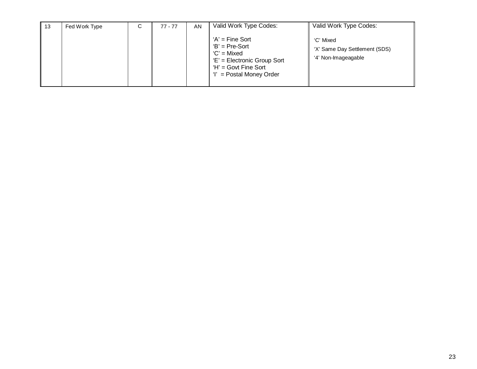| 13 | Fed Work Type | C | 77 - 77 | AN | Valid Work Type Codes:                                                                                                              | Valid Work Type Codes:                                            |
|----|---------------|---|---------|----|-------------------------------------------------------------------------------------------------------------------------------------|-------------------------------------------------------------------|
|    |               |   |         |    | $'A' =$ Fine Sort<br>$B' = Pre-Sort$<br>'C' = Mixed<br>'E' = Electronic Group Sort<br>$H' = Govt$ Fine Sort<br>= Postal Money Order | 'C' Mixed<br>'X' Same Day Settlement (SDS)<br>'4' Non-Imageagable |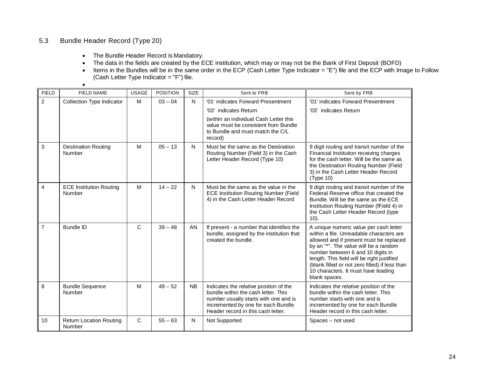## 5.3 Bundle Header Record (Type 20)

•

- The Bundle Header Record is Mandatory.
- The data in the fields are created by the ECE institution, which may or may not be the Bank of First Deposit (BOFD)
- (Cash Letter Type Indicator = "F") file. • Items in the Bundles will be in the same order in the ECP (Cash Letter Type Indicator = "E") file and the ECP with Image to Follow

| <b>FIELD</b>   | <b>FIELD NAME</b>                        | <b>USAGE</b> | <b>POSITION</b> | SIZE      | Sent to FRB                                                                                                                                                                                        | Sent by FRB                                                                                                                                                                                                                                                                                                                                                         |
|----------------|------------------------------------------|--------------|-----------------|-----------|----------------------------------------------------------------------------------------------------------------------------------------------------------------------------------------------------|---------------------------------------------------------------------------------------------------------------------------------------------------------------------------------------------------------------------------------------------------------------------------------------------------------------------------------------------------------------------|
| $\overline{c}$ | <b>Collection Type Indicator</b>         | M            | $03 - 04$       | N         | '01' indicates Forward Presentment                                                                                                                                                                 | '01' indicates Forward Presentment                                                                                                                                                                                                                                                                                                                                  |
|                |                                          |              |                 |           | '03' indicates Return                                                                                                                                                                              | '03' indicates Return                                                                                                                                                                                                                                                                                                                                               |
|                |                                          |              |                 |           | (within an individual Cash Letter this<br>value must be consistent from Bundle<br>to Bundle and must match the C/L<br>record)                                                                      |                                                                                                                                                                                                                                                                                                                                                                     |
| 3              | <b>Destination Routing</b><br>Number     | M            | $05 - 13$       | N         | Must be the same as the Destination<br>Routing Number (Field 3) in the Cash<br>Letter Header Record (Type 10)                                                                                      | 9 digit routing and transit number of the<br>Financial Institution receiving charges<br>for the cash letter. Will be the same as<br>the Destination Routing Number (Field<br>3) in the Cash Letter Header Record<br>(Type 10)                                                                                                                                       |
| $\overline{4}$ | <b>ECE Institution Routing</b><br>Number | M            | $14 - 22$       | N         | Must be the same as the value in the<br><b>ECE Institution Routing Number (Field</b><br>4) in the Cash Letter Header Record                                                                        | 9 digit routing and transit number of the<br>Federal Reserve office that created the<br>Bundle. Will be the same as the ECE<br>Institution Routing Number (fField 4) in<br>the Cash Letter Header Record (type<br>$10$ ).                                                                                                                                           |
| $\overline{7}$ | <b>Bundle ID</b>                         | $\mathsf{C}$ | $39 - 48$       | <b>AN</b> | If present - a number that identifies the<br>bundle, assigned by the institution that<br>created the bundle.                                                                                       | A unique numeric value per cash letter<br>within a file. Unreadable characters are<br>allowed and if present must be replaced<br>by an "*". The value will be a random<br>number between 6 and 10 digits in<br>length. This field will be right justified<br>(blank filled or not zero filled) if less than<br>10 characters. It must have leading<br>blank spaces. |
| 8              | <b>Bundle Sequence</b><br>Number         | M            | $49 - 52$       | <b>NB</b> | Indicates the relative position of the<br>bundle within the cash letter. This<br>number usually starts with one and is<br>incremented by one for each Bundle<br>Header record in this cash letter. | Indicates the relative position of the<br>bundle within the cash letter. This<br>number starts with one and is<br>incremented by one for each Bundle<br>Header record in this cash letter.                                                                                                                                                                          |
| 10             | <b>Return Location Routing</b><br>Number | $\mathsf{C}$ | $55 - 63$       | N         | Not Supported                                                                                                                                                                                      | Spaces - not used                                                                                                                                                                                                                                                                                                                                                   |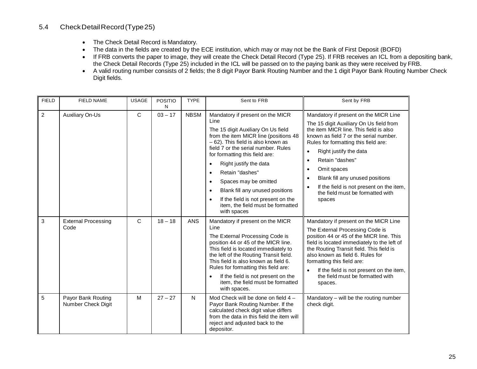## 5.4 CheckDetailRecord(Type25)

- The Check Detail Record is Mandatory.
- The data in the fields are created by the ECE institution, which may or may not be the Bank of First Deposit (BOFD)
- the Check Detail Records (Type 25) included in the ICL will be passed on to the paying bank as they were received by FRB. • If FRB converts the paper to image, they will create the Check Detail Record (Type 25). If FRB receives an ICL from a depositing bank,
- • A valid routing number consists of 2 fields; the 8 digit Payor Bank Routing Number and the 1 digit Payor Bank Routing Number Check Digit fields.

| <b>FIELD</b>   | <b>FIELD NAME</b>                        | <b>USAGE</b> | <b>POSITIO</b><br>N | <b>TYPE</b> | Sent to FRB                                                                                                                                                                                                                                                                                                                                                                                                                                                                      | Sent by FRB                                                                                                                                                                                                                                                                                                                                                                                                                                                            |
|----------------|------------------------------------------|--------------|---------------------|-------------|----------------------------------------------------------------------------------------------------------------------------------------------------------------------------------------------------------------------------------------------------------------------------------------------------------------------------------------------------------------------------------------------------------------------------------------------------------------------------------|------------------------------------------------------------------------------------------------------------------------------------------------------------------------------------------------------------------------------------------------------------------------------------------------------------------------------------------------------------------------------------------------------------------------------------------------------------------------|
| $\overline{c}$ | <b>Auxiliary On-Us</b>                   | C            | $03 - 17$           | <b>NBSM</b> | Mandatory if present on the MICR<br>Line<br>The 15 digit Auxiliary On Us field<br>from the item MICR line (positions 48<br>- 62). This field is also known as<br>field 7 or the serial number. Rules<br>for formatting this field are:<br>Right justify the data<br>Retain "dashes"<br>Spaces may be omitted<br>$\bullet$<br>Blank fill any unused positions<br>$\bullet$<br>If the field is not present on the<br>$\bullet$<br>item, the field must be formatted<br>with spaces | Mandatory if present on the MICR Line<br>The 15 digit Auxiliary On Us field from<br>the item MICR line. This field is also<br>known as field 7 or the serial number.<br>Rules for formatting this field are:<br>Right justify the data<br>$\bullet$<br>Retain "dashes"<br>$\bullet$<br>Omit spaces<br>$\bullet$<br>Blank fill any unused positions<br>$\bullet$<br>If the field is not present on the item,<br>$\bullet$<br>the field must be formatted with<br>spaces |
| 3              | <b>External Processing</b><br>Code       | C            | $18 - 18$           | ANS         | Mandatory if present on the MICR<br>Line<br>The External Processing Code is<br>position 44 or 45 of the MICR line.<br>This field is located immediately to<br>the left of the Routing Transit field.<br>This field is also known as field 6.<br>Rules for formatting this field are:<br>If the field is not present on the<br>item, the field must be formatted<br>with spaces.                                                                                                  | Mandatory if present on the MICR Line<br>The External Processing Code is<br>position 44 or 45 of the MICR line. This<br>field is located immediately to the left of<br>the Routing Transit field. This field is<br>also known as field 6. Rules for<br>formatting this field are:<br>If the field is not present on the item,<br>the field must be formatted with<br>spaces.                                                                                           |
| 5              | Payor Bank Routing<br>Number Check Digit | M            | $27 - 27$           | ${\sf N}$   | Mod Check will be done on field 4 -<br>Payor Bank Routing Number. If the<br>calculated check digit value differs<br>from the data in this field the item will<br>reject and adjusted back to the<br>depositor.                                                                                                                                                                                                                                                                   | Mandatory - will be the routing number<br>check digit.                                                                                                                                                                                                                                                                                                                                                                                                                 |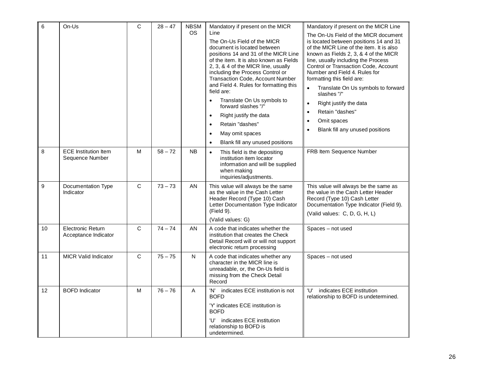| $\,6$       | On-Us                                            | C            | $28 - 47$ | <b>NBSM</b><br><b>OS</b> | Mandatory if present on the MICR<br>Line<br>The On-Us Field of the MICR<br>document is located between<br>positions 14 and 31 of the MICR Line<br>of the item. It is also known as Fields<br>2, 3, & 4 of the MICR line, usually<br>including the Process Control or<br>Transaction Code, Account Number<br>and Field 4. Rules for formatting this<br>field are:<br>Translate On Us symbols to<br>forward slashes "/"<br>Right justify the data<br>Retain "dashes"<br>$\bullet$<br>May omit spaces<br>Blank fill any unused positions | Mandatory if present on the MICR Line<br>The On-Us Field of the MICR document<br>is located between positions 14 and 31<br>of the MICR Line of the item. It is also<br>known as Fields 2, 3, & 4 of the MICR<br>line, usually including the Process<br>Control or Transaction Code, Account<br>Number and Field 4. Rules for<br>formatting this field are:<br>Translate On Us symbols to forward<br>$\bullet$<br>slashes "/"<br>Right justify the data<br>$\bullet$<br>Retain "dashes"<br>$\bullet$<br>Omit spaces<br>$\bullet$<br>Blank fill any unused positions<br>$\bullet$ |
|-------------|--------------------------------------------------|--------------|-----------|--------------------------|---------------------------------------------------------------------------------------------------------------------------------------------------------------------------------------------------------------------------------------------------------------------------------------------------------------------------------------------------------------------------------------------------------------------------------------------------------------------------------------------------------------------------------------|---------------------------------------------------------------------------------------------------------------------------------------------------------------------------------------------------------------------------------------------------------------------------------------------------------------------------------------------------------------------------------------------------------------------------------------------------------------------------------------------------------------------------------------------------------------------------------|
| 8           | <b>ECE</b> Institution Item<br>Sequence Number   | M            | $58 - 72$ | <b>NB</b>                | This field is the depositing<br>$\bullet$<br>institution item locator<br>information and will be supplied<br>when making<br>inquiries/adjustments.                                                                                                                                                                                                                                                                                                                                                                                    | FRB Item Sequence Number                                                                                                                                                                                                                                                                                                                                                                                                                                                                                                                                                        |
| $\mathsf g$ | Documentation Type<br>Indicator                  | $\mathsf{C}$ | $73 - 73$ | AN                       | This value will always be the same<br>as the value in the Cash Letter<br>Header Record (Type 10) Cash<br>Letter Documentation Type Indicator<br>(Field 9).<br>(Valid values: G)                                                                                                                                                                                                                                                                                                                                                       | This value will always be the same as<br>the value in the Cash Letter Header<br>Record (Type 10) Cash Letter<br>Documentation Type Indicator (Field 9).<br>(Valid values: C, D, G, H, L)                                                                                                                                                                                                                                                                                                                                                                                        |
| 10          | <b>Electronic Return</b><br>Acceptance Indicator | C            | $74 - 74$ | AN                       | A code that indicates whether the<br>institution that creates the Check<br>Detail Record will or will not support<br>electronic return processing                                                                                                                                                                                                                                                                                                                                                                                     | Spaces - not used                                                                                                                                                                                                                                                                                                                                                                                                                                                                                                                                                               |
| 11          | <b>MICR Valid Indicator</b>                      | $\mathsf{C}$ | $75 - 75$ | $\mathsf{N}$             | A code that indicates whether any<br>character in the MICR line is<br>unreadable, or, the On-Us field is<br>missing from the Check Detail<br>Record                                                                                                                                                                                                                                                                                                                                                                                   | Spaces - not used                                                                                                                                                                                                                                                                                                                                                                                                                                                                                                                                                               |
| 12          | <b>BOFD Indicator</b>                            | M            | $76 - 76$ | Α                        | 'N' indicates ECE institution is not<br>BOFD<br>'Y' indicates ECE institution is<br><b>BOFD</b><br>'U' indicates ECE institution<br>relationship to BOFD is<br>undetermined.                                                                                                                                                                                                                                                                                                                                                          | 'U' indicates ECE institution<br>relationship to BOFD is undetermined.                                                                                                                                                                                                                                                                                                                                                                                                                                                                                                          |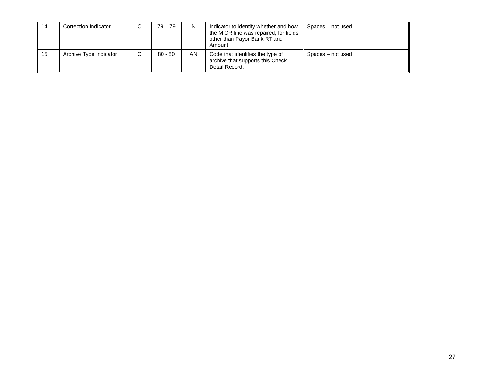| 14   | Correction Indicator   | С | $79 - 79$ | N  | Indicator to identify whether and how<br>the MICR line was repaired, for fields<br>other than Payor Bank RT and<br>Amount | Spaces – not used |
|------|------------------------|---|-----------|----|---------------------------------------------------------------------------------------------------------------------------|-------------------|
| l 15 | Archive Type Indicator | С | $80 - 80$ | AN | Code that identifies the type of<br>archive that supports this Check<br>Detail Record.                                    | Spaces – not used |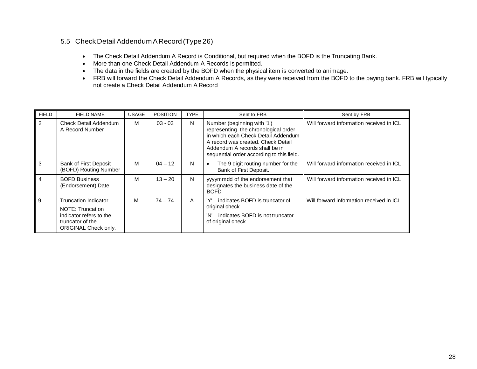#### 5.5 Check DetailAddendumARecord (Type26)

- The Check Detail Addendum A Record is Conditional, but required when the BOFD is the Truncating Bank.
- More than one Check Detail Addendum A Records is permitted.
- The data in the fields are created by the BOFD when the physical item is converted to animage.
- not create a Check Detail Addendum A Record • FRB will forward the Check Detail Addendum A Records, as they were received from the BOFD to the paying bank. FRB will typically

| <b>FIELD</b> | FIELD NAME                                                                                                             | <b>USAGE</b> | <b>POSITION</b> | <b>TYPE</b> | Sent to FRB                                                                                                                                                                                                                     | Sent by FRB                              |
|--------------|------------------------------------------------------------------------------------------------------------------------|--------------|-----------------|-------------|---------------------------------------------------------------------------------------------------------------------------------------------------------------------------------------------------------------------------------|------------------------------------------|
| 2            | Check Detail Addendum<br>A Record Number                                                                               | м            | $03 - 03$       | N           | Number (beginning with '1')<br>representing the chronological order<br>in which each Check Detail Addendum<br>A record was created. Check Detail<br>Addendum A records shall be in<br>sequential order according to this field. | Will forward information received in ICL |
| 3            | Bank of First Deposit<br>(BOFD) Routing Number                                                                         | м            | $04 - 12$       | N           | The 9 digit routing number for the<br>٠<br>Bank of First Deposit.                                                                                                                                                               | Will forward information received in ICL |
| 4            | <b>BOFD Business</b><br>(Endorsement) Date                                                                             | м            | $13 - 20$       | N           | yyyymmdd of the endorsement that<br>designates the business date of the<br><b>BOFD</b>                                                                                                                                          | Will forward information received in ICL |
| 9            | <b>Truncation Indicator</b><br>NOTE: Truncation<br>indicator refers to the<br>truncator of the<br>ORIGINAL Check only. | м            | $74 - 74$       | A           | indicates BOFD is truncator of<br>original check<br>'N'<br>indicates BOFD is not truncator<br>of original check                                                                                                                 | Will forward information received in ICL |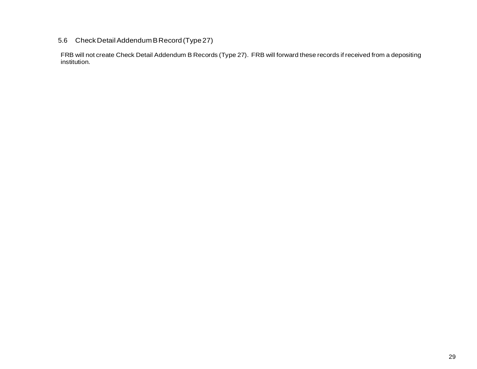#### 5.6 Check DetailAddendumBRecord(Type27)

 FRB will not create Check Detail Addendum B Records (Type 27). FRB will forward these records if received from a depositing institution.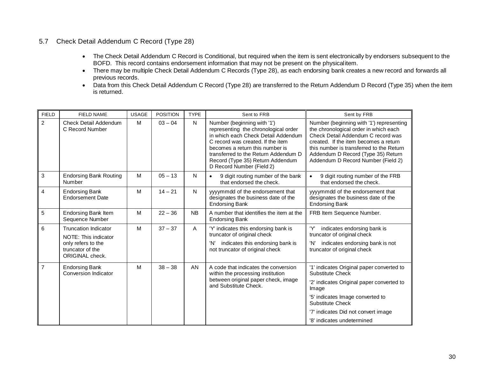#### 5.7 Check Detail Addendum C Record (Type 28)

- • The Check Detail Addendum C Record is Conditional, but required when the item is sent electronically by endorsers subsequent to the BOFD. This record contains endorsement information that may not be present on the physicalitem.
- previous records. • There may be multiple Check Detail Addendum C Records (Type 28), as each endorsing bank creates a new record and forwards all
- • Data from this Check Detail Addendum C Record (Type 28) are transferred to the Return Addendum D Record (Type 35) when the item is returned.

| <b>FIELD</b>   | <b>FIELD NAME</b>                                         | <b>USAGE</b> | <b>POSITION</b> | <b>TYPE</b>  | Sent to FRB                                                                                                                                                                                                                                                                                 | Sent by FRB                                                                                                                                                                                                                                                                              |
|----------------|-----------------------------------------------------------|--------------|-----------------|--------------|---------------------------------------------------------------------------------------------------------------------------------------------------------------------------------------------------------------------------------------------------------------------------------------------|------------------------------------------------------------------------------------------------------------------------------------------------------------------------------------------------------------------------------------------------------------------------------------------|
| $\overline{2}$ | <b>Check Detail Addendum</b><br>C Record Number           | M            | $03 - 04$       | N            | Number (beginning with '1')<br>representing the chronological order<br>in which each Check Detail Addendum<br>C record was created. If the item<br>becomes a return this number is<br>transferred to the Return Addendum D<br>Record (Type 35) Return Addendum<br>D Record Number (Field 2) | Number (beginning with '1') representing<br>the chronological order in which each<br>Check Detail Addendum C record was<br>created. If the item becomes a return<br>this number is transferred to the Return<br>Addendum D Record (Type 35) Return<br>Addendum D Record Number (Field 2) |
| 3              | <b>Endorsing Bank Routing</b><br>Number                   | M            | $05 - 13$       | $\mathsf{N}$ | 9 digit routing number of the bank<br>$\bullet$<br>that endorsed the check.                                                                                                                                                                                                                 | 9 digit routing number of the FRB<br>$\bullet$<br>that endorsed the check.                                                                                                                                                                                                               |
| $\overline{4}$ | <b>Endorsing Bank</b><br><b>Endorsement Date</b>          | M            | $14 - 21$       | N            | yyyymmdd of the endorsement that<br>designates the business date of the<br><b>Endorsing Bank</b>                                                                                                                                                                                            | yyyymmdd of the endorsement that<br>designates the business date of the<br><b>Endorsing Bank</b>                                                                                                                                                                                         |
| 5              | <b>Endorsing Bank Item</b><br>Sequence Number             | M            | $22 - 36$       | <b>NB</b>    | A number that identifies the item at the<br><b>Endorsing Bank</b>                                                                                                                                                                                                                           | FRB Item Sequence Number.                                                                                                                                                                                                                                                                |
| 6              | <b>Truncation Indicator</b><br>NOTE: This indicator       | M            | $37 - 37$       | A            | 'Y' indicates this endorsing bank is<br>truncator of original check                                                                                                                                                                                                                         | 'Y'<br>indicates endorsing bank is<br>truncator of original check                                                                                                                                                                                                                        |
|                | only refers to the<br>truncator of the<br>ORIGINAL check. |              |                 |              | indicates this endorsing bank is<br>'N'<br>not truncator of original check                                                                                                                                                                                                                  | indicates endorsing bank is not<br>'N'<br>truncator of original check                                                                                                                                                                                                                    |
| $\overline{7}$ | <b>Endorsing Bank</b><br><b>Conversion Indicator</b>      | M            | $38 - 38$       | <b>AN</b>    | A code that indicates the conversion<br>within the processing institution                                                                                                                                                                                                                   | '1' indicates Original paper converted to<br>Substitute Check                                                                                                                                                                                                                            |
|                |                                                           |              |                 |              | between original paper check, image<br>and Substitute Check.                                                                                                                                                                                                                                | '2' indicates Original paper converted to<br>Image                                                                                                                                                                                                                                       |
|                |                                                           |              |                 |              |                                                                                                                                                                                                                                                                                             | '5' indicates Image converted to<br>Substitute Check                                                                                                                                                                                                                                     |
|                |                                                           |              |                 |              |                                                                                                                                                                                                                                                                                             | '7' indicates Did not convert image                                                                                                                                                                                                                                                      |
|                |                                                           |              |                 |              |                                                                                                                                                                                                                                                                                             | '8' indicates undetermined                                                                                                                                                                                                                                                               |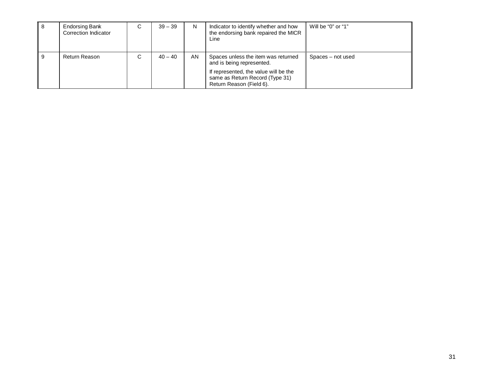| -8 | <b>Endorsing Bank</b><br>Correction Indicator | С | $39 - 39$ | N   | Indicator to identify whether and how<br>the endorsing bank repaired the MICR<br>Line                                                                                    | Will be "0" or "1" |
|----|-----------------------------------------------|---|-----------|-----|--------------------------------------------------------------------------------------------------------------------------------------------------------------------------|--------------------|
| 9  | Return Reason                                 | С | $40 - 40$ | AN. | Spaces unless the item was returned<br>and is being represented.<br>If represented, the value will be the<br>same as Return Record (Type 31)<br>Return Reason (Field 6). | Spaces – not used  |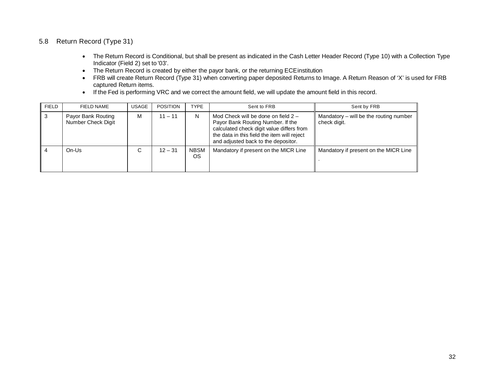#### 5.8 Return Record (Type 31)

- • The Return Record is Conditional, but shall be present as indicated in the Cash Letter Header Record (Type 10) with a Collection Type Indicator (Field 2) set to '03'.
- The Return Record is created by either the payor bank, or the returning ECEinstitution
- • FRB will create Return Record (Type 31) when converting paper deposited Returns to Image. A Return Reason of 'X' is used for FRB captured Return items.
- If the Fed is performing VRC and we correct the amount field, we will update the amount field in this record.

| <b>FIELD</b>   | FIELD NAME                               | <b>USAGE</b> | <b>POSITION</b> | <b>TYPE</b>              | Sent to FRB                                                                                                                                                                                                   | Sent by FRB                                              |
|----------------|------------------------------------------|--------------|-----------------|--------------------------|---------------------------------------------------------------------------------------------------------------------------------------------------------------------------------------------------------------|----------------------------------------------------------|
| $\mathbf{3}$   | Payor Bank Routing<br>Number Check Digit | M            | $11 - 11$       | N                        | Mod Check will be done on field $2 -$<br>Payor Bank Routing Number. If the<br>calculated check digit value differs from<br>the data in this field the item will reject<br>and adjusted back to the depositor. | Mandatory $-$ will be the routing number<br>check digit. |
| $\overline{4}$ | $On$ -Us                                 | C            | $12 - 31$       | <b>NBSM</b><br><b>OS</b> | Mandatory if present on the MICR Line                                                                                                                                                                         | Mandatory if present on the MICR Line                    |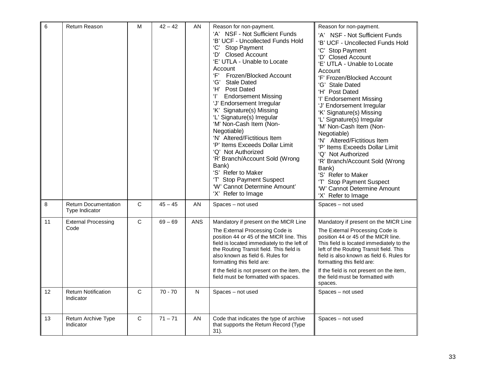| $6\phantom{1}$ | <b>Return Reason</b>                          | M            | $42 - 42$ | AN         | Reason for non-payment.<br>'A' NSF - Not Sufficient Funds<br>'B' UCF - Uncollected Funds Hold<br>'C'<br><b>Stop Payment</b><br><b>Closed Account</b><br>'D'<br>'E' UTLA - Unable to Locate<br>Account<br>Έ,<br>Frozen/Blocked Account<br>'G'<br><b>Stale Dated</b><br>'H' Post Dated<br>$\mathbf{T}$<br><b>Endorsement Missing</b><br>'J' Endorsement Irregular<br>'K' Signature(s) Missing<br>'L' Signature(s) Irregular<br>'M' Non-Cash Item (Non-<br>Negotiable)<br>'N' Altered/Fictitious Item<br>'P' Items Exceeds Dollar Limit<br>'Q' Not Authorized<br>'R' Branch/Account Sold (Wrong<br>Bank)<br>'S' Refer to Maker<br>'T' Stop Payment Suspect<br>'W' Cannot Determine Amount'<br>'X' Refer to Image | Reason for non-payment.<br>'A' NSF - Not Sufficient Funds<br>'B' UCF - Uncollected Funds Hold<br>'C' Stop Payment<br>'D' Closed Account<br>'E' UTLA - Unable to Locate<br>Account<br>'F' Frozen/Blocked Account<br>'G' Stale Dated<br>'H' Post Dated<br>'I' Endorsement Missing<br>'J' Endorsement Irregular<br>'K' Signature(s) Missing<br>'L' Signature(s) Irregular<br>'M' Non-Cash Item (Non-<br>Negotiable)<br>'N' Altered/Fictitious Item<br>'P' Items Exceeds Dollar Limit<br>'Q' Not Authorized<br>'R' Branch/Account Sold (Wrong<br>Bank)<br>'S' Refer to Maker<br>'T' Stop Payment Suspect<br>'W' Cannot Determine Amount<br>'X' Refer to Image |
|----------------|-----------------------------------------------|--------------|-----------|------------|---------------------------------------------------------------------------------------------------------------------------------------------------------------------------------------------------------------------------------------------------------------------------------------------------------------------------------------------------------------------------------------------------------------------------------------------------------------------------------------------------------------------------------------------------------------------------------------------------------------------------------------------------------------------------------------------------------------|-----------------------------------------------------------------------------------------------------------------------------------------------------------------------------------------------------------------------------------------------------------------------------------------------------------------------------------------------------------------------------------------------------------------------------------------------------------------------------------------------------------------------------------------------------------------------------------------------------------------------------------------------------------|
| 8              | <b>Return Documentation</b><br>Type Indicator | $\mathbf C$  | $45 - 45$ | <b>AN</b>  | Spaces - not used                                                                                                                                                                                                                                                                                                                                                                                                                                                                                                                                                                                                                                                                                             | Spaces - not used                                                                                                                                                                                                                                                                                                                                                                                                                                                                                                                                                                                                                                         |
| 11             | <b>External Processing</b><br>Code            | C            | $69 - 69$ | <b>ANS</b> | Mandatory if present on the MICR Line<br>The External Processing Code is<br>position 44 or 45 of the MICR line. This<br>field is located immediately to the left of<br>the Routing Transit field. This field is<br>also known as field 6. Rules for<br>formatting this field are:<br>If the field is not present on the item, the<br>field must be formatted with spaces.                                                                                                                                                                                                                                                                                                                                     | Mandatory if present on the MICR Line<br>The External Processing Code is<br>position 44 or 45 of the MICR line.<br>This field is located immediately to the<br>left of the Routing Transit field. This<br>field is also known as field 6. Rules for<br>formatting this field are:<br>If the field is not present on the item,<br>the field must be formatted with<br>spaces.                                                                                                                                                                                                                                                                              |
| 12             | <b>Return Notification</b><br>Indicator       | $\mathsf{C}$ | $70 - 70$ | N          | Spaces - not used                                                                                                                                                                                                                                                                                                                                                                                                                                                                                                                                                                                                                                                                                             | Spaces - not used                                                                                                                                                                                                                                                                                                                                                                                                                                                                                                                                                                                                                                         |
| 13             | Return Archive Type<br>Indicator              | $\mathbf C$  | $71 - 71$ | AN         | Code that indicates the type of archive<br>that supports the Return Record (Type<br>31).                                                                                                                                                                                                                                                                                                                                                                                                                                                                                                                                                                                                                      | Spaces - not used                                                                                                                                                                                                                                                                                                                                                                                                                                                                                                                                                                                                                                         |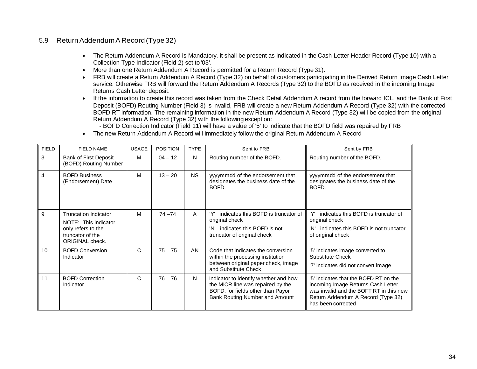#### 5.9 Return AddendumA Record(Type32)

- • The Return Addendum A Record is Mandatory, it shall be present as indicated in the Cash Letter Header Record (Type 10) with a Collection Type Indicator (Field 2) set to '03'.
- More than one Return Addendum A Record is permitted for a Return Record (Type 31).
- • FRB will create a Return Addendum A Record (Type 32) on behalf of customers participating in the Derived Return Image Cash Letter Returns Cash Letter deposit. service. Otherwise FRB will forward the Return Addendum A Records (Type 32) to the BOFD as received in the incoming Image
- Return Addendum A Record (Type 32) with the following exception: • If the information to create this record was taken from the Check Detail Addendum A record from the forward ICL, and the Bank of First Deposit (BOFD) Routing Number (Field 3) is invalid, FRB will create a new Return Addendum A Record (Type 32) with the corrected BOFD RT information. The remaining information in the new Return Addendum A Record (Type 32) will be copied from the original

- BOFD Correction Indicator (Field 11) will have a value of '5' to indicate that the BOFD field was repaired by FRB

• The new Return Addendum A Record will immediately follow the original Return Addendum A Record

| <b>FIELD</b>   | <b>FIELD NAME</b>                                                                                                | <b>USAGE</b> | <b>POSITION</b> | <b>TYPE</b> | Sent to FRB                                                                                                                                       | Sent by FRB                                                                                                                                                                        |
|----------------|------------------------------------------------------------------------------------------------------------------|--------------|-----------------|-------------|---------------------------------------------------------------------------------------------------------------------------------------------------|------------------------------------------------------------------------------------------------------------------------------------------------------------------------------------|
| 3              | <b>Bank of First Deposit</b><br>(BOFD) Routing Number                                                            | M            | $04 - 12$       | N           | Routing number of the BOFD.                                                                                                                       | Routing number of the BOFD.                                                                                                                                                        |
| $\overline{4}$ | <b>BOFD Business</b><br>(Endorsement) Date                                                                       | M            | $13 - 20$       | <b>NS</b>   | yyyymmdd of the endorsement that<br>designates the business date of the<br>BOFD.                                                                  | yyyymmdd of the endorsement that<br>designates the business date of the<br>BOFD.                                                                                                   |
| 9              | <b>Truncation Indicator</b><br>NOTE: This indicator<br>only refers to the<br>truncator of the<br>ORIGINAL check. | M            | $74 - 74$       | A           | indicates this BOFD is truncator of<br>original check<br>indicates this BOFD is not<br>'N'<br>truncator of original check                         | indicates this BOFD is truncator of<br>original check<br>indicates this BOFD is not truncator<br>'N'<br>of original check                                                          |
| 10             | <b>BOFD Conversion</b><br>Indicator                                                                              | C            | $75 - 75$       | <b>AN</b>   | Code that indicates the conversion<br>within the processing institution<br>between original paper check, image<br>and Substitute Check            | '5' indicates image converted to<br>Substitute Check<br>'7' indicates did not convert image                                                                                        |
| 11             | <b>BOFD Correction</b><br>Indicator                                                                              | C            | $76 - 76$       | N           | Indicator to identify whether and how<br>the MICR line was repaired by the<br>BOFD, for fields other than Payor<br>Bank Routing Number and Amount | '5' indicates that the BOFD RT on the<br>incoming Image Returns Cash Letter<br>was invalid and the BOFT RT in this new<br>Return Addendum A Record (Type 32)<br>has been corrected |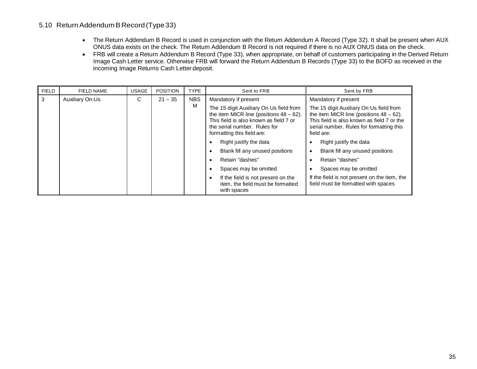#### 5.10 Return AddendumB Record(Type33)

- ONUS data exists on the check. The Return Addendum B Record is not required if there is no AUX ONUS data on the check. • The Return Addendum B Record is used in conjunction with the Return Addendum A Record (Type 32). It shall be present when AUX
- • FRB will create a Return Addendum B Record (Type 33), when appropriate, on behalf of customers participating in the Derived Return Image Cash Letter service. Otherwise FRB will forward the Return Addendum B Records (Type 33) to the BOFD as received in the incoming Image Returns Cash Letter deposit.

| <b>FIELD</b> | <b>FIELD NAME</b>      | <b>USAGE</b> | <b>POSITION</b> | <b>TYPE</b> | Sent to FRB                                                                                                                                                                                   | Sent by FRB                                                                                                                                                                                   |
|--------------|------------------------|--------------|-----------------|-------------|-----------------------------------------------------------------------------------------------------------------------------------------------------------------------------------------------|-----------------------------------------------------------------------------------------------------------------------------------------------------------------------------------------------|
| 3            | <b>Auxiliary On-Us</b> | С            | $21 - 35$       | <b>NBS</b>  | Mandatory if present                                                                                                                                                                          | Mandatory if present                                                                                                                                                                          |
|              |                        |              |                 | M           | The 15 digit Auxiliary On Us field from<br>the item MICR line (positions $48 - 62$ ).<br>This field is also known as field 7 or<br>the serial number. Rules for<br>formatting this field are: | The 15 digit Auxiliary On Us field from<br>the item MICR line (positions $48 - 62$ ).<br>This field is also known as field 7 or the<br>serial number. Rules for formatting this<br>field are: |
|              |                        |              |                 |             | Right justify the data                                                                                                                                                                        | Right justify the data                                                                                                                                                                        |
|              |                        |              |                 |             | Blank fill any unused positions                                                                                                                                                               | Blank fill any unused positions                                                                                                                                                               |
|              |                        |              |                 |             | Retain "dashes"                                                                                                                                                                               | Retain "dashes"                                                                                                                                                                               |
|              |                        |              |                 |             | Spaces may be omitted                                                                                                                                                                         | Spaces may be omitted                                                                                                                                                                         |
|              |                        |              |                 |             | If the field is not present on the<br>$\bullet$<br>item, the field must be formatted<br>with spaces                                                                                           | If the field is not present on the item, the<br>field must be formatted with spaces                                                                                                           |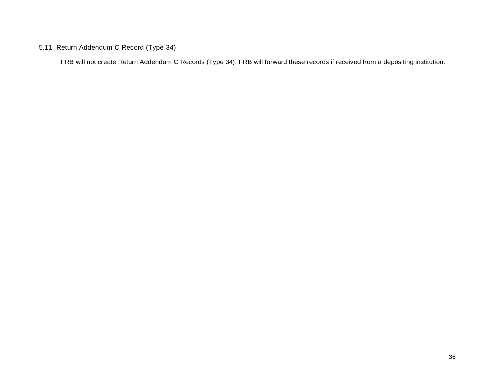## 5.11 Return Addendum C Record (Type 34)

FRB will not create Return Addendum C Records (Type 34). FRB will forward these records if received from a depositing institution.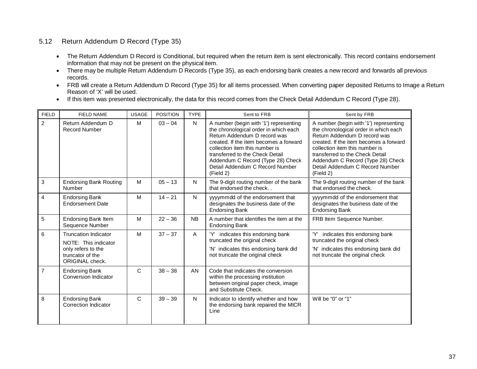#### 5.12 Return Addendum D Record (Type 35)

- information that may not be present on the physical item. • The Return Addendum D Record is Conditional, but required when the return item is sent electronically. This record contains endorsement
- • There may be multiple Return Addendum D Records (Type 35), as each endorsing bank creates a new record and forwards all previous records.
- • FRB will create a Return Addendum D Record (Type 35) for all items processed. When converting paper deposited Returns to Image a Return Reason of 'X' will be used.
- If this item was presented electronically, the data for this record comes from the Check Detail Addendum C Record (Type 28).

| <b>FIELD</b>   | <b>FIELD NAME</b>                                         | <b>USAGE</b> | <b>POSITION</b> | <b>TYPE</b>  | Sent to FRB                                                                                                                                                                                                                                                                                                         | Sent by FRB                                                                                                                                                                                                                                                                                                         |
|----------------|-----------------------------------------------------------|--------------|-----------------|--------------|---------------------------------------------------------------------------------------------------------------------------------------------------------------------------------------------------------------------------------------------------------------------------------------------------------------------|---------------------------------------------------------------------------------------------------------------------------------------------------------------------------------------------------------------------------------------------------------------------------------------------------------------------|
| $\overline{2}$ | Return Addendum D<br><b>Record Number</b>                 | M            | $03 - 04$       | N            | A number (begin with '1') representing<br>the chronological order in which each<br>Return Addendum D record was<br>created. If the item becomes a forward<br>collection item this number is<br>transferred to the Check Detail<br>Addendum C Record (Type 28) Check<br>Detail Addendum C Record Number<br>(Field 2) | A number (begin with '1') representing<br>the chronological order in which each<br>Return Addendum D record was<br>created. If the item becomes a forward<br>collection item this number is<br>transferred to the Check Detail<br>Addendum C Record (Type 28) Check<br>Detail Addendum C Record Number<br>(Field 2) |
| $\mathfrak{Z}$ | <b>Endorsing Bank Routing</b><br>Number                   | M            | $05 - 13$       | N            | The 9-digit routing number of the bank<br>that endorsed the check                                                                                                                                                                                                                                                   | The 9-digit routing number of the bank<br>that endorsed the check.                                                                                                                                                                                                                                                  |
| $\overline{4}$ | <b>Endorsing Bank</b><br><b>Endorsement Date</b>          | M            | $14 - 21$       | N            | yyyymmdd of the endorsement that<br>designates the business date of the<br><b>Endorsing Bank</b>                                                                                                                                                                                                                    | yyyymmdd of the endorsement that<br>designates the business date of the<br><b>Endorsing Bank</b>                                                                                                                                                                                                                    |
| $\sqrt{5}$     | <b>Endorsing Bank Item</b><br>Sequence Number             | M            | $22 - 36$       | <b>NB</b>    | A number that identifies the item at the<br><b>Endorsing Bank</b>                                                                                                                                                                                                                                                   | FRB Item Sequence Number.                                                                                                                                                                                                                                                                                           |
| 6              | <b>Truncation Indicator</b><br>NOTE: This indicator       | M            | $37 - 37$       | A            | 'Y' indicates this endorsing bank<br>truncated the original check                                                                                                                                                                                                                                                   | indicates this endorsing bank<br>truncated the original check                                                                                                                                                                                                                                                       |
|                | only refers to the<br>truncator of the<br>ORIGINAL check. |              |                 |              | 'N' indicates this endorsing bank did<br>not truncate the original check                                                                                                                                                                                                                                            | 'N' indicates this endorsing bank did<br>not truncate the original check                                                                                                                                                                                                                                            |
| $\overline{7}$ | <b>Endorsing Bank</b><br><b>Conversion Indicator</b>      | $\mathsf{C}$ | $38 - 38$       | AN           | Code that indicates the conversion<br>within the processing institution<br>between original paper check, image<br>and Substitute Check.                                                                                                                                                                             |                                                                                                                                                                                                                                                                                                                     |
| 8              | <b>Endorsing Bank</b><br>Correction Indicator             | $\mathsf C$  | $39 - 39$       | $\mathsf{N}$ | Indicator to identify whether and how<br>the endorsing bank repaired the MICR<br>Line                                                                                                                                                                                                                               | Will be "0" or "1"                                                                                                                                                                                                                                                                                                  |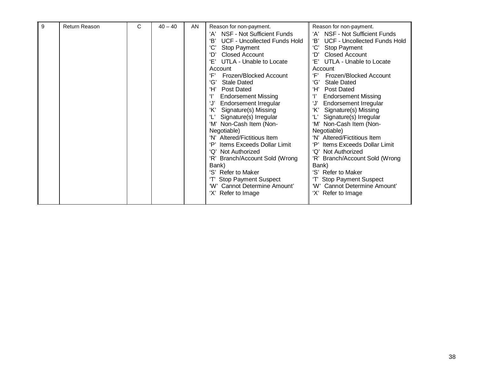| 9 | <b>Return Reason</b> | C | $40 - 40$ | AN. | Reason for non-payment.<br>NSF - Not Sufficient Funds<br>'A'                                                                                                                                                                                                                                                                                                                                                                                                                                                                           | Reason for non-payment.<br>NSF - Not Sufficient Funds<br>'A'                                                                                                                                                                                                                                                                                                                                                                                                                                                  |
|---|----------------------|---|-----------|-----|----------------------------------------------------------------------------------------------------------------------------------------------------------------------------------------------------------------------------------------------------------------------------------------------------------------------------------------------------------------------------------------------------------------------------------------------------------------------------------------------------------------------------------------|---------------------------------------------------------------------------------------------------------------------------------------------------------------------------------------------------------------------------------------------------------------------------------------------------------------------------------------------------------------------------------------------------------------------------------------------------------------------------------------------------------------|
|   |                      |   |           |     | 'B'<br><b>UCF - Uncollected Funds Hold</b><br>'C'<br>Stop Payment<br>'D'<br><b>Closed Account</b><br>'Ε'<br>UTLA - Unable to Locate<br>Account<br>'F'<br>Frozen/Blocked Account<br>ʻGʻ<br><b>Stale Dated</b><br>ʻH'<br>Post Dated<br>Ŧ<br><b>Endorsement Missing</b><br>Endorsement Irregular<br>'J'<br>'K'<br>Signature(s) Missing<br>Signature(s) Irregular<br>'M' Non-Cash Item (Non-<br>Negotiable)<br>'N' Altered/Fictitious Item<br>'Ρ'<br>Items Exceeds Dollar Limit<br>'O'<br>Not Authorized<br>'R' Branch/Account Sold (Wrong | 'В'<br>UCF - Uncollected Funds Hold<br>Stop Payment<br><b>Closed Account</b><br>'D'<br>Έ'<br>UTLA - Unable to Locate<br>Account<br>ʻΕ'<br>Frozen/Blocked Account<br>'G'<br><b>Stale Dated</b><br>Ή'<br>Post Dated<br><b>Endorsement Missing</b><br>'J'<br>Endorsement Irregular<br>'K'<br>Signature(s) Missing<br>Signature(s) Irregular<br>'M' Non-Cash Item (Non-<br>Negotiable)<br>'N' Altered/Fictitious Item<br><b>Items Exceeds Dollar Limit</b><br>Not Authorized<br>'Q'<br>Branch/Account Sold (Wrong |
|   |                      |   |           |     | Bank)<br>'S' Refer to Maker<br><b>Stop Payment Suspect</b><br>'W' Cannot Determine Amount'<br>'X' Refer to Image                                                                                                                                                                                                                                                                                                                                                                                                                       | Bank)<br>'S' Refer to Maker<br><b>Stop Payment Suspect</b><br>'W' Cannot Determine Amount'<br>'X' Refer to Image                                                                                                                                                                                                                                                                                                                                                                                              |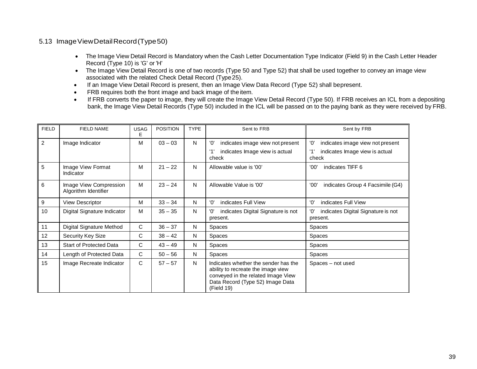#### 5.13 Image View Detail Record (Type 50)

- • The Image View Detail Record is Mandatory when the Cash Letter Documentation Type Indicator (Field 9) in the Cash Letter Header Record (Type 10) is 'G' or 'H'
- • The Image View Detail Record is one of two records (Type 50 and Type 52) that shall be used together to convey an image view associated with the related Check Detail Record (Type25).
- If an Image View Detail Record is present, then an Image View Data Record (Type 52) shall bepresent.
- FRB requires both the front image and back image of the item.
- bank, the Image View Detail Records (Type 50) included in the ICL will be passed on to the paying bank as they were received by FRB. • If FRB converts the paper to image, they will create the Image View Detail Record (Type 50). If FRB receives an ICL from a depositing

| <b>FIELD</b> | <b>FIELD NAME</b>                              | <b>USAG</b><br>Е | <b>POSITION</b> | <b>TYPE</b> | Sent to FRB                                                                                                                                                        | Sent by FRB                                           |
|--------------|------------------------------------------------|------------------|-----------------|-------------|--------------------------------------------------------------------------------------------------------------------------------------------------------------------|-------------------------------------------------------|
| 2            | Image Indicator                                | M                | $03 - 03$       | N           | indicates image view not present<br>'0'                                                                                                                            | '0'<br>indicates image view not present               |
|              |                                                |                  |                 |             | indicates Image view is actual<br>check                                                                                                                            | '1'<br>indicates Image view is actual<br>check        |
| 5            | Image View Format<br>Indicator                 | м                | $21 - 22$       | N           | Allowable value is '00'                                                                                                                                            | '00'<br>indicates TIFF 6                              |
| 6            | Image View Compression<br>Algorithm Identifier | M                | $23 - 24$       | N           | Allowable Value is '00'                                                                                                                                            | '00'<br>indicates Group 4 Facsimile (G4)              |
| 9            | <b>View Descriptor</b>                         | M                | $33 - 34$       | N           | '0'<br>indicates Full View                                                                                                                                         | '0'<br>indicates Full View                            |
| 10           | Digital Signature Indicator                    | М                | $35 - 35$       | N           | indicates Digital Signature is not<br>'ח'<br>present.                                                                                                              | 'ח'<br>indicates Digital Signature is not<br>present. |
| 11           | Digital Signature Method                       | C                | $36 - 37$       | N           | Spaces                                                                                                                                                             | <b>Spaces</b>                                         |
| 12           | Security Key Size                              | C                | $38 - 42$       | N           | Spaces                                                                                                                                                             | Spaces                                                |
| 13           | <b>Start of Protected Data</b>                 | C                | $43 - 49$       | N           | Spaces                                                                                                                                                             | Spaces                                                |
| 14           | Length of Protected Data                       | C                | $50 - 56$       | N           | Spaces                                                                                                                                                             | Spaces                                                |
| 15           | Image Recreate Indicator                       | C                | $57 - 57$       | N           | Indicates whether the sender has the<br>ability to recreate the image view<br>conveyed in the related Image View<br>Data Record (Type 52) Image Data<br>(Field 19) | Spaces - not used                                     |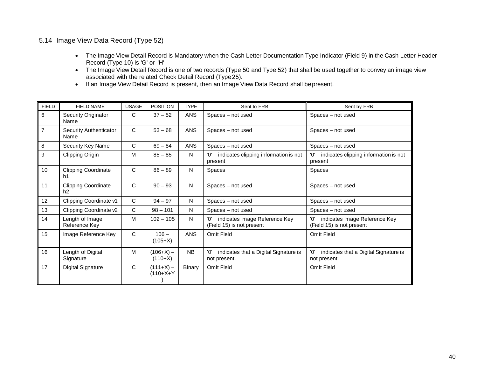#### 5.14 Image View Data Record (Type 52)

- • The Image View Detail Record is Mandatory when the Cash Letter Documentation Type Indicator (Field 9) in the Cash Letter Header Record (Type 10) is 'G' or 'H'
- • The Image View Detail Record is one of two records (Type 50 and Type 52) that shall be used together to convey an image view associated with the related Check Detail Record (Type25).
- If an Image View Detail Record is present, then an Image View Data Record shall bepresent.

| <b>FIELD</b>     | <b>FIELD NAME</b>                | <b>USAGE</b> | <b>POSITION</b>            | <b>TYPE</b>   | Sent to FRB                                                       | Sent by FRB                                                       |
|------------------|----------------------------------|--------------|----------------------------|---------------|-------------------------------------------------------------------|-------------------------------------------------------------------|
| 6                | Security Originator<br>Name      | C            | $37 - 52$                  | <b>ANS</b>    | Spaces - not used                                                 | Spaces - not used                                                 |
| $\overline{7}$   | Security Authenticator<br>Name   | C            | $53 - 68$                  | <b>ANS</b>    | Spaces - not used                                                 | Spaces - not used                                                 |
| $\bf{8}$         | Security Key Name                | C            | $69 - 84$                  | <b>ANS</b>    | Spaces - not used                                                 | Spaces – not used                                                 |
| $\boldsymbol{9}$ | Clipping Origin                  | M            | $85 - 85$                  | N             | indicates clipping information is not<br>'0'<br>present           | 'ח'<br>indicates clipping information is not<br>present           |
| 10               | <b>Clipping Coordinate</b><br>h1 | C            | $86 - 89$                  | N             | Spaces                                                            | Spaces                                                            |
| 11               | <b>Clipping Coordinate</b><br>h2 | C            | $90 - 93$                  | N             | Spaces - not used                                                 | Spaces - not used                                                 |
| 12               | Clipping Coordinate v1           | C            | $94 - 97$                  | N             | Spaces - not used                                                 | Spaces – not used                                                 |
| 13               | Clipping Coordinate v2           | C            | $98 - 101$                 | N             | Spaces – not used                                                 | Spaces – not used                                                 |
| 14               | Length of Image<br>Reference Key | M            | $102 - 105$                | N             | indicates Image Reference Key<br>'O'<br>(Field 15) is not present | indicates Image Reference Key<br>'ח'<br>(Field 15) is not present |
| 15               | Image Reference Key              | C            | $106 -$<br>$(105+X)$       | <b>ANS</b>    | Omit Field                                                        | Omit Field                                                        |
| 16               | Length of Digital<br>Signature   | M            | $(106+X)$ –<br>$(110+X)$   | <b>NB</b>     | '0'<br>indicates that a Digital Signature is<br>not present.      | 'ח'<br>indicates that a Digital Signature is<br>not present.      |
| 17               | <b>Digital Signature</b>         | C            | $(111+X) -$<br>$(110+X+Y)$ | <b>Binary</b> | Omit Field                                                        | Omit Field                                                        |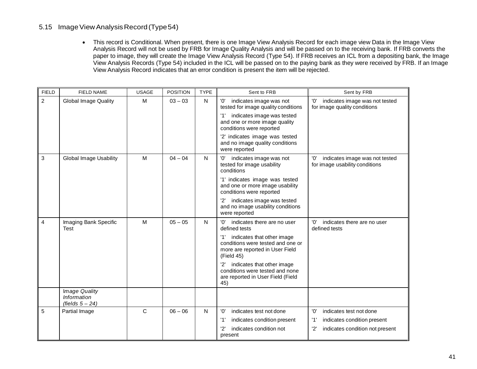#### 5.15 Image View Analysis Record (Type 54)

 View Analysis Record indicates that an error condition is present the item will be rejected. • This record is Conditional. When present, there is one Image View Analysis Record for each image view Data in the Image View Analysis Record will not be used by FRB for Image Quality Analysis and will be passed on to the receiving bank. If FRB converts the paper to image, they will create the Image View Analysis Record (Type 54). If FRB receives an ICL from a depositing bank, the Image View Analysis Records (Type 54) included in the ICL will be passed on to the paying bank as they were received by FRB. If an Image

| <b>FIELD</b>   | <b>FIELD NAME</b>                                | <b>USAGE</b> | <b>POSITION</b> | <b>TYPE</b>  | Sent to FRB                                                                                                             | Sent by FRB                                                             |
|----------------|--------------------------------------------------|--------------|-----------------|--------------|-------------------------------------------------------------------------------------------------------------------------|-------------------------------------------------------------------------|
| $\overline{2}$ | <b>Global Image Quality</b>                      | M            | $03 - 03$       | N            | '0'<br>indicates image was not<br>tested for image quality conditions                                                   | '0'<br>indicates image was not tested<br>for image quality conditions   |
|                |                                                  |              |                 |              | indicates image was tested<br>'1'<br>and one or more image quality<br>conditions were reported                          |                                                                         |
|                |                                                  |              |                 |              | '2' indicates image was tested<br>and no image quality conditions<br>were reported                                      |                                                                         |
| $\sqrt{3}$     | <b>Global Image Usability</b>                    | M            | $04 - 04$       | N            | indicates image was not<br>'O'<br>tested for image usability<br>conditions                                              | 'ח'<br>indicates image was not tested<br>for image usability conditions |
|                |                                                  |              |                 |              | '1' indicates image was tested<br>and one or more image usability<br>conditions were reported                           |                                                                         |
|                |                                                  |              |                 |              | indicates image was tested<br>and no image usability conditions<br>were reported                                        |                                                                         |
| $\overline{4}$ | Imaging Bank Specific<br><b>Test</b>             | M            | $05 - 05$       | $\mathsf{N}$ | indicates there are no user<br>'ח'<br>defined tests                                                                     | 'ח'<br>indicates there are no user<br>defined tests                     |
|                |                                                  |              |                 |              | indicates that other image<br>'1'<br>conditions were tested and one or<br>more are reported in User Field<br>(Field 45) |                                                                         |
|                |                                                  |              |                 |              | indicates that other image<br>'2'<br>conditions were tested and none<br>are reported in User Field (Field<br>45)        |                                                                         |
|                | Image Quality<br>Information<br>(fields $5-24$ ) |              |                 |              |                                                                                                                         |                                                                         |
| 5              | Partial Image                                    | $\mathsf{C}$ | $06 - 06$       | N            | indicates test not done<br>'0'                                                                                          | '0'<br>indicates test not done                                          |
|                |                                                  |              |                 |              | indicates condition present<br>'1'                                                                                      | '1'<br>indicates condition present                                      |
|                |                                                  |              |                 |              | '2'<br>indicates condition not<br>present                                                                               | '2'<br>indicates condition not present                                  |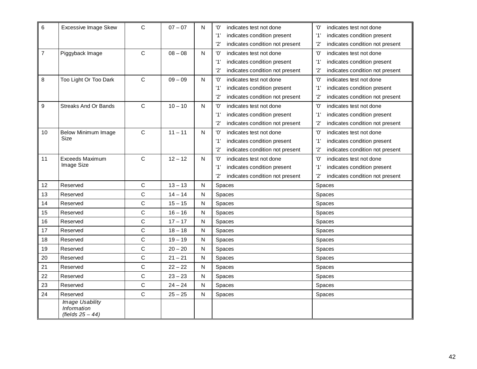| 6              | <b>Excessive Image Skew</b>                                  | C            | $07 - 07$ | N            | '0'<br>indicates test not done         | '0'<br>indicates test not done         |
|----------------|--------------------------------------------------------------|--------------|-----------|--------------|----------------------------------------|----------------------------------------|
|                |                                                              |              |           |              | '1'<br>indicates condition present     | '1'<br>indicates condition present     |
|                |                                                              |              |           |              | '2'<br>indicates condition not present | indicates condition not present<br>'2' |
| $\overline{7}$ | Piggyback Image                                              | C            | $08 - 08$ | N            | '0'<br>indicates test not done         | '0'<br>indicates test not done         |
|                |                                                              |              |           |              | '1'<br>indicates condition present     | '1'<br>indicates condition present     |
|                |                                                              |              |           |              | '2'<br>indicates condition not present | '2'<br>indicates condition not present |
| 8              | Too Light Or Too Dark                                        | $\mathbf C$  | $09 - 09$ | N            | '0'<br>indicates test not done         | '0'<br>indicates test not done         |
|                |                                                              |              |           |              | '1'<br>indicates condition present     | '1'<br>indicates condition present     |
|                |                                                              |              |           |              | '2'<br>indicates condition not present | '2'<br>indicates condition not present |
| 9              | <b>Streaks And Or Bands</b>                                  | $\mathsf{C}$ | $10 - 10$ | $\mathsf{N}$ | '0'<br>indicates test not done         | 'O'<br>indicates test not done         |
|                |                                                              |              |           |              | '1'<br>indicates condition present     | '1'<br>indicates condition present     |
|                |                                                              |              |           |              | '2'<br>indicates condition not present | '2'<br>indicates condition not present |
| 10             | Below Minimum Image                                          | $\mathbf C$  | $11 - 11$ | N            | '0'<br>indicates test not done         | 'O'<br>indicates test not done         |
|                | Size                                                         |              |           |              | '1'<br>indicates condition present     | '1'<br>indicates condition present     |
|                |                                                              |              |           |              | '2'<br>indicates condition not present | 2'<br>indicates condition not present  |
| 11             | Exceeds Maximum                                              | $\mathsf{C}$ | $12 - 12$ | N            | '0'<br>indicates test not done         | '0'<br>indicates test not done         |
|                | Image Size                                                   |              |           |              | '1'<br>indicates condition present     | indicates condition present<br>'1'     |
|                |                                                              |              |           |              | '2'<br>indicates condition not present | '2'<br>indicates condition not present |
| 12             | Reserved                                                     | C            | $13 - 13$ | N            | Spaces                                 | Spaces                                 |
| 13             | Reserved                                                     | C            | $14 - 14$ | N            | Spaces                                 | Spaces                                 |
| 14             | Reserved                                                     | C            | $15 - 15$ | N            | Spaces                                 | Spaces                                 |
| 15             | Reserved                                                     | C            | $16 - 16$ | N            | Spaces                                 | Spaces                                 |
| 16             | Reserved                                                     | C            | $17 - 17$ | N            | Spaces                                 | Spaces                                 |
| 17             | Reserved                                                     | C            | $18 - 18$ | N            | Spaces                                 | Spaces                                 |
| 18             | Reserved                                                     | C            | $19 - 19$ | N            | Spaces                                 | Spaces                                 |
| 19             | Reserved                                                     | C            | $20 - 20$ | N            | Spaces                                 | Spaces                                 |
| 20             | Reserved                                                     | C            | $21 - 21$ | N            | Spaces                                 | Spaces                                 |
| 21             | Reserved                                                     | C            | $22 - 22$ | N            | Spaces                                 | Spaces                                 |
| 22             | Reserved                                                     | C            | $23 - 23$ | N            | Spaces                                 | Spaces                                 |
| 23             | Reserved                                                     | $\mathsf{C}$ | $24 - 24$ | N            | Spaces                                 | Spaces                                 |
| 24             | Reserved                                                     | C            | $25 - 25$ | N            | Spaces                                 | Spaces                                 |
|                | <b>Image Usability</b><br>Information<br>(fields $25 - 44$ ) |              |           |              |                                        |                                        |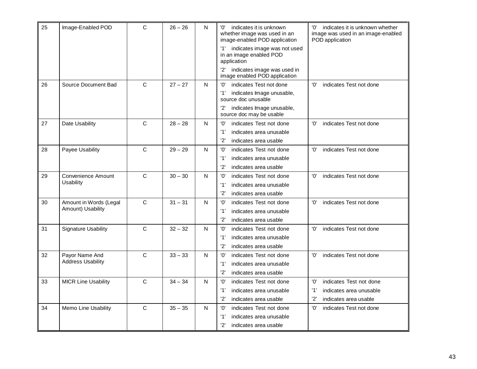| 25 | Image-Enabled POD          | C            | $26 - 26$ | N | 'ח'<br>indicates it is unknown<br>whether image was used in an<br>image-enabled POD application | '0'<br>indicates it is unknown whether<br>image was used in an image-enabled<br>POD application |
|----|----------------------------|--------------|-----------|---|-------------------------------------------------------------------------------------------------|-------------------------------------------------------------------------------------------------|
|    |                            |              |           |   | indicates image was not used<br>'1'<br>in an image enabled POD<br>application                   |                                                                                                 |
|    |                            |              |           |   | '2' indicates image was used in<br>image enabled POD application                                |                                                                                                 |
| 26 | Source Document Bad        | $\mathbf C$  | $27 - 27$ | N | indicates Test not done<br>'ח'                                                                  | indicates Test not done<br>'ח'                                                                  |
|    |                            |              |           |   | '1'<br>indicates Image unusable,<br>source doc unusable                                         |                                                                                                 |
|    |                            |              |           |   | indicates Image unusable,<br>source doc may be usable                                           |                                                                                                 |
| 27 | Date Usability             | $\mathsf{C}$ | $28 - 28$ | N | indicates Test not done<br>'0'                                                                  | indicates Test not done<br>'0'                                                                  |
|    |                            |              |           |   | '1'<br>indicates area unusable                                                                  |                                                                                                 |
|    |                            |              |           |   | '2'<br>indicates area usable                                                                    |                                                                                                 |
| 28 | Payee Usability            | $\mathsf{C}$ | $29 - 29$ | N | '0'<br>indicates Test not done                                                                  | indicates Test not done<br>'ח'                                                                  |
|    |                            |              |           |   | '1'<br>indicates area unusable                                                                  |                                                                                                 |
|    |                            |              |           |   | '2'<br>indicates area usable                                                                    |                                                                                                 |
| 29 | <b>Convenience Amount</b>  | $\mathsf{C}$ | $30 - 30$ | N | '0'<br>indicates Test not done                                                                  | 'ח'<br>indicates Test not done                                                                  |
|    | Usability                  |              |           |   | '1'<br>indicates area unusable                                                                  |                                                                                                 |
|    |                            |              |           |   | '2'<br>indicates area usable                                                                    |                                                                                                 |
| 30 | Amount in Words (Legal     | $\mathsf{C}$ | $31 - 31$ | N | 'O'<br>indicates Test not done                                                                  | 'ח'<br>indicates Test not done                                                                  |
|    | Amount) Usability          |              |           |   | '1'<br>indicates area unusable                                                                  |                                                                                                 |
|    |                            |              |           |   | '2'<br>indicates area usable                                                                    |                                                                                                 |
| 31 | <b>Signature Usability</b> | $\mathsf{C}$ | $32 - 32$ | N | indicates Test not done<br>'O'                                                                  | indicates Test not done<br>'0'                                                                  |
|    |                            |              |           |   | '1'<br>indicates area unusable                                                                  |                                                                                                 |
|    |                            |              |           |   | 2'<br>indicates area usable                                                                     |                                                                                                 |
| 32 | Payor Name And             | $\mathsf{C}$ | $33 - 33$ | N | indicates Test not done<br>'0'                                                                  | indicates Test not done<br>'0'                                                                  |
|    | <b>Address Usability</b>   |              |           |   | '1'<br>indicates area unusable                                                                  |                                                                                                 |
|    |                            |              |           |   | '2'<br>indicates area usable                                                                    |                                                                                                 |
| 33 | <b>MICR Line Usability</b> | C            | $34 - 34$ | N | '0'<br>indicates Test not done                                                                  | indicates Test not done<br>'0'                                                                  |
|    |                            |              |           |   | '1'<br>indicates area unusable                                                                  | '1'<br>indicates area unusable                                                                  |
|    |                            |              |           |   | '2'<br>indicates area usable                                                                    | '2'<br>indicates area usable                                                                    |
| 34 | Memo Line Usability        | $\mathsf{C}$ | $35 - 35$ | N | indicates Test not done<br>'0'                                                                  | '0'<br>indicates Test not done                                                                  |
|    |                            |              |           |   | '1'<br>indicates area unusable                                                                  |                                                                                                 |
|    |                            |              |           |   | '2'<br>indicates area usable                                                                    |                                                                                                 |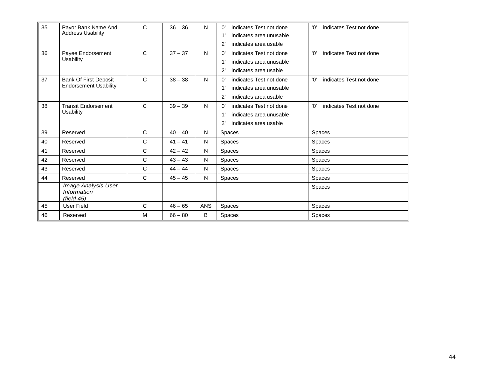| 35 | Pavor Bank Name And<br><b>Address Usability</b> | $\mathsf{C}$ | $36 - 36$ | N          | 'ח'<br>indicates Test not done<br>'1'<br>indicates area unusable | '0'<br>indicates Test not done |
|----|-------------------------------------------------|--------------|-----------|------------|------------------------------------------------------------------|--------------------------------|
| 36 | Payee Endorsement                               | $\mathsf C$  | $37 - 37$ | N          | '2'<br>indicates area usable<br>'ח'<br>indicates Test not done   | 'O'<br>indicates Test not done |
|    | Usability                                       |              |           |            | '1'<br>indicates area unusable                                   |                                |
|    |                                                 |              |           |            | '2'<br>indicates area usable                                     |                                |
| 37 | <b>Bank Of First Deposit</b>                    | $\mathsf{C}$ | $38 - 38$ | N          | indicates Test not done<br>'ח'                                   | 'O'<br>indicates Test not done |
|    | <b>Endorsement Usability</b>                    |              |           |            | '1'<br>indicates area unusable                                   |                                |
|    |                                                 |              |           |            | '2'<br>indicates area usable                                     |                                |
| 38 | <b>Transit Endorsement</b>                      | $\mathsf{C}$ | $39 - 39$ | N          | indicates Test not done<br>'ח'                                   | 'በ'<br>indicates Test not done |
|    | Usability                                       |              |           |            | '1'<br>indicates area unusable                                   |                                |
|    |                                                 |              |           |            | '2'<br>indicates area usable                                     |                                |
| 39 | Reserved                                        | $\mathsf{C}$ | $40 - 40$ | N          | Spaces                                                           | Spaces                         |
| 40 | Reserved                                        | C            | $41 - 41$ | N          | <b>Spaces</b>                                                    | <b>Spaces</b>                  |
| 41 | Reserved                                        | $\mathsf{C}$ | $42 - 42$ | N          | Spaces                                                           | Spaces                         |
| 42 | Reserved                                        | C            | $43 - 43$ | N          | Spaces                                                           | Spaces                         |
| 43 | Reserved                                        | C            | $44 - 44$ | N          | Spaces                                                           | <b>Spaces</b>                  |
| 44 | Reserved                                        | C            | $45 - 45$ | N          | <b>Spaces</b>                                                    | Spaces                         |
|    | Image Analysis User                             |              |           |            |                                                                  | Spaces                         |
|    | Information<br>(field 45)                       |              |           |            |                                                                  |                                |
| 45 | User Field                                      | $\mathsf{C}$ | $46 - 65$ | <b>ANS</b> | Spaces                                                           | Spaces                         |
| 46 | Reserved                                        | M            | $66 - 80$ | B          | Spaces                                                           | <b>Spaces</b>                  |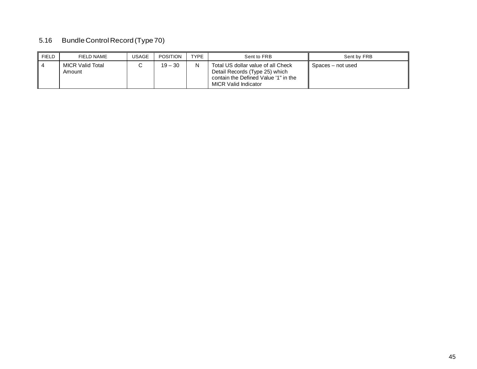#### 5.16 Bundle Control Record (Type 70)

| <b>FIELD</b> | FIELD NAME                        | <b>USAGE</b> | <b>POSITION</b> | <b>TYPE</b> | Sent to FRB                                                                                                                                 | Sent by FRB       |
|--------------|-----------------------------------|--------------|-----------------|-------------|---------------------------------------------------------------------------------------------------------------------------------------------|-------------------|
|              | <b>MICR Valid Total</b><br>Amount |              | $19 - 30$       | N           | Total US dollar value of all Check<br>Detail Records (Type 25) which<br>contain the Defined Value '1" in the<br><b>MICR Valid Indicator</b> | Spaces – not used |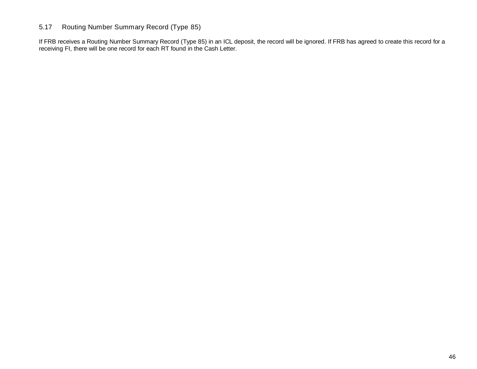#### 5.17 Routing Number Summary Record (Type 85)

If FRB receives a Routing Number Summary Record (Type 85) in an ICL deposit, the record will be ignored. If FRB has agreed to create this record for a receiving FI, there will be one record for each RT found in the Cash Letter.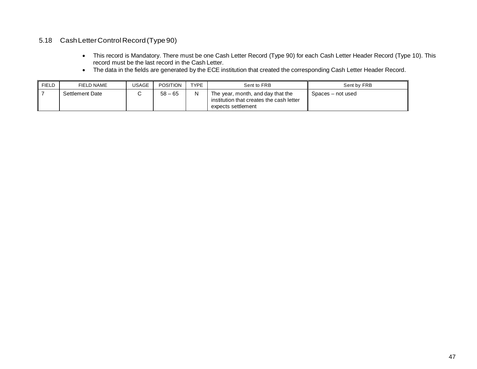#### 5.18 CashLetterControl Record(Type90)

- record must be the last record in the Cash Letter. • This record is Mandatory. There must be one Cash Letter Record (Type 90) for each Cash Letter Header Record (Type 10). This
- The data in the fields are generated by the ECE institution that created the corresponding Cash Letter Header Record.

| FIELD | FIELD NAME      | JSAGE | <b>POSITION</b> | TYPE | Sent to FRB                                                                                         | Sent by FRB       |
|-------|-----------------|-------|-----------------|------|-----------------------------------------------------------------------------------------------------|-------------------|
|       | Settlement Date |       | $58 - 65$       | N    | The year, month, and day that the<br>institution that creates the cash letter<br>expects settlement | Spaces – not used |